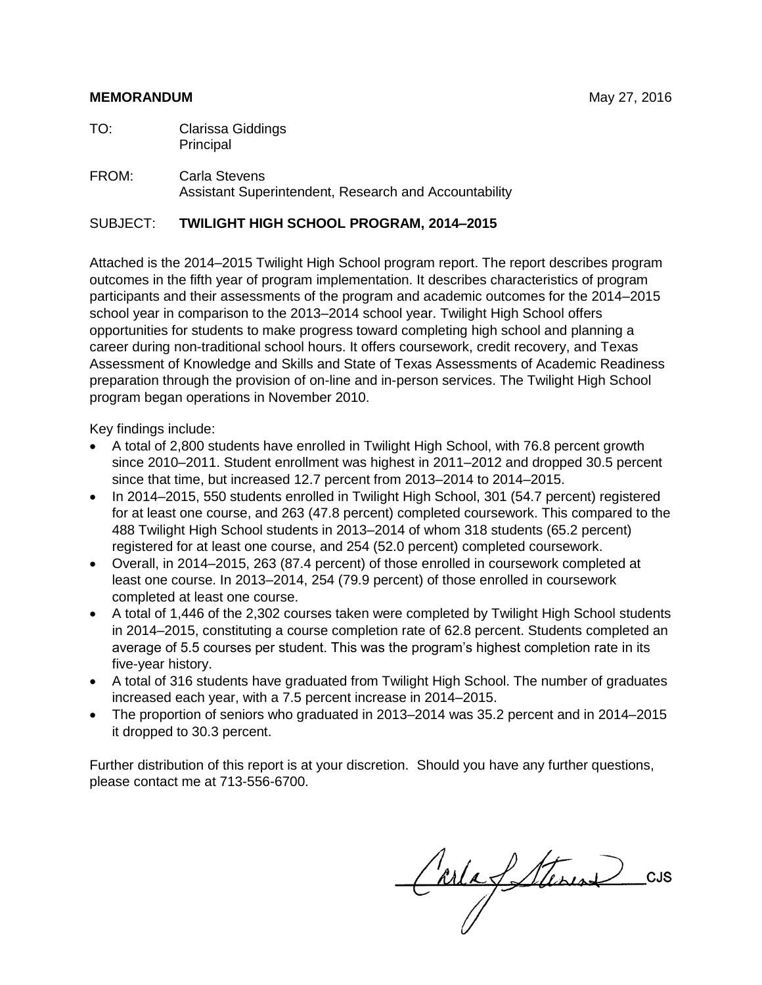#### **MEMORANDUM** May 27, 2016

TO: Clarissa Giddings Principal

#### FROM: Carla Stevens Assistant Superintendent, Research and Accountability

#### SUBJECT: **TWILIGHT HIGH SCHOOL PROGRAM, 2014–2015**

Attached is the 2014–2015 Twilight High School program report. The report describes program outcomes in the fifth year of program implementation. It describes characteristics of program participants and their assessments of the program and academic outcomes for the 2014–2015 school year in comparison to the 2013–2014 school year. Twilight High School offers opportunities for students to make progress toward completing high school and planning a career during non-traditional school hours. It offers coursework, credit recovery, and Texas Assessment of Knowledge and Skills and State of Texas Assessments of Academic Readiness preparation through the provision of on-line and in-person services. The Twilight High School program began operations in November 2010.

Key findings include:

- A total of 2,800 students have enrolled in Twilight High School, with 76.8 percent growth since 2010–2011. Student enrollment was highest in 2011–2012 and dropped 30.5 percent since that time, but increased 12.7 percent from 2013–2014 to 2014–2015.
- In 2014–2015, 550 students enrolled in Twilight High School, 301 (54.7 percent) registered for at least one course, and 263 (47.8 percent) completed coursework. This compared to the 488 Twilight High School students in 2013–2014 of whom 318 students (65.2 percent) registered for at least one course, and 254 (52.0 percent) completed coursework.
- Overall, in 2014–2015, 263 (87.4 percent) of those enrolled in coursework completed at least one course. In 2013–2014, 254 (79.9 percent) of those enrolled in coursework completed at least one course.
- A total of 1,446 of the 2,302 courses taken were completed by Twilight High School students in 2014–2015, constituting a course completion rate of 62.8 percent. Students completed an average of 5.5 courses per student. This was the program's highest completion rate in its five-year history.
- A total of 316 students have graduated from Twilight High School. The number of graduates increased each year, with a 7.5 percent increase in 2014–2015.
- The proportion of seniors who graduated in 2013–2014 was 35.2 percent and in 2014–2015 it dropped to 30.3 percent.

Further distribution of this report is at your discretion. Should you have any further questions, please contact me at 713-556-6700.

Carles Sternes cu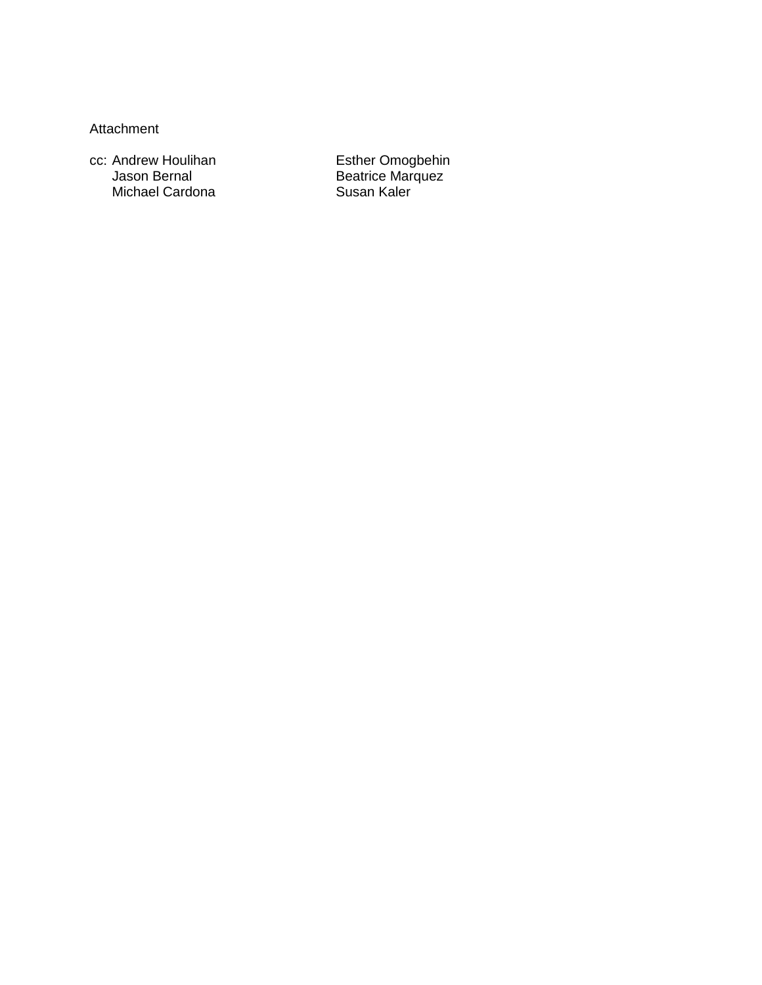Attachment

cc: Andrew Houlihan **Esther Omogbehin** Jason Bernal **Beatrice Marquez** Michael Cardona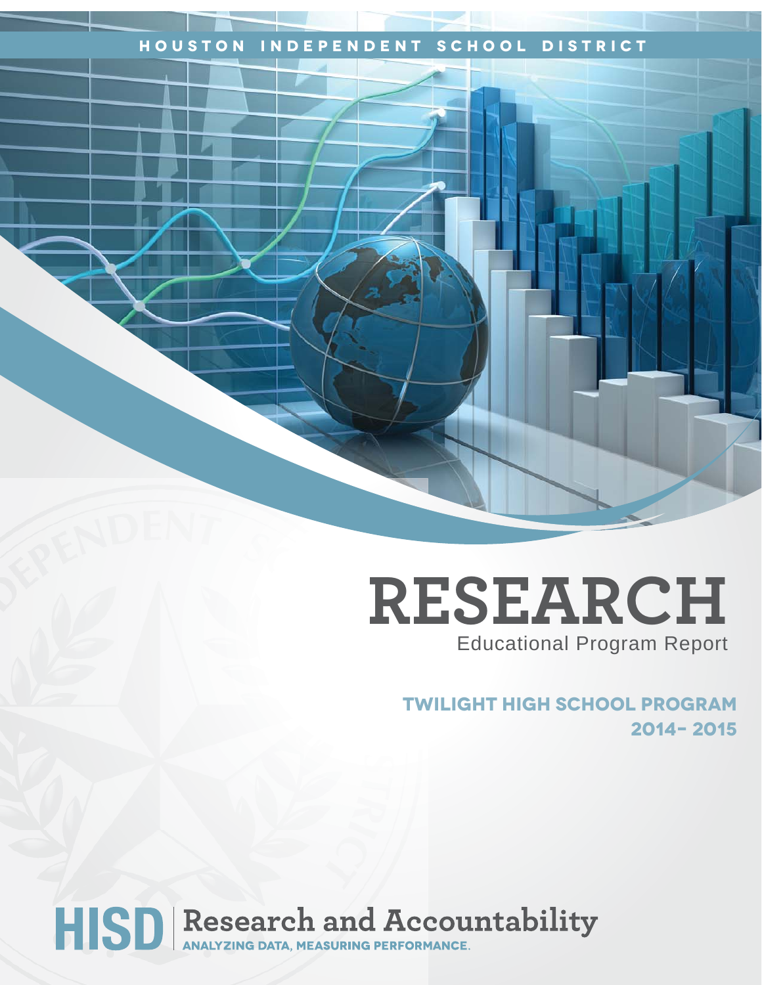# **Houston Independent School District**

# **RESEARCH** Educational Program Report

# **Twilight High School Program 2014– 2015**

HISD Research and Accountability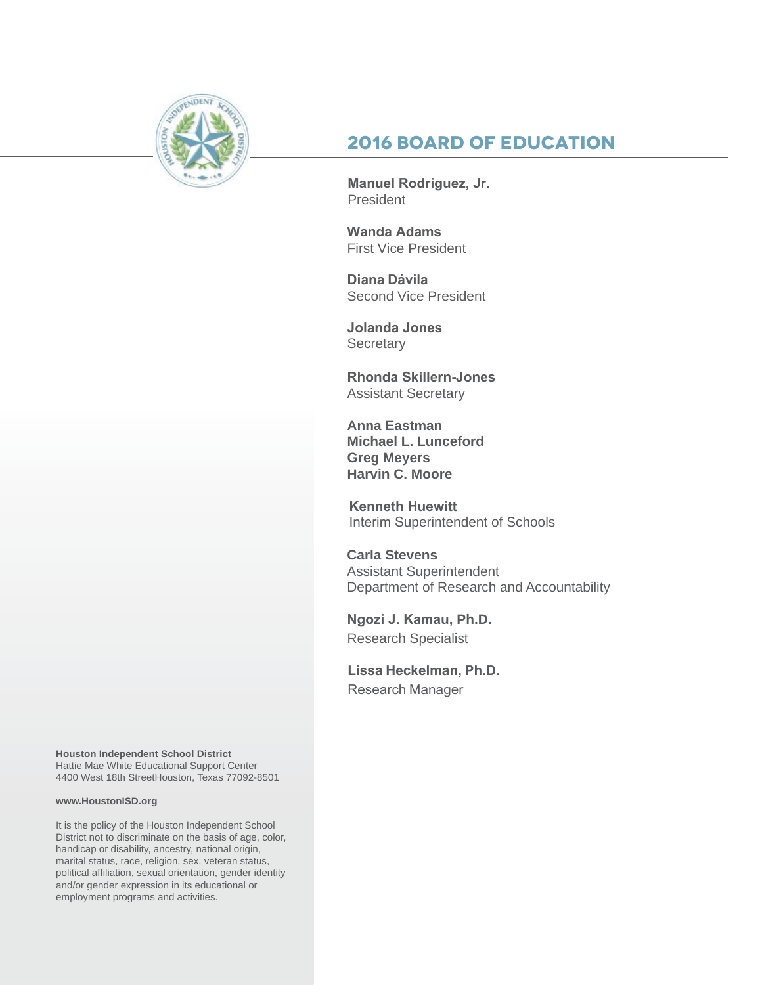

# **2016 Board of Education**

**Manuel Rodriguez, Jr.**  President

**Wanda Adams**  First Vice President

**Diana Dávila** Second Vice President

**Jolanda Jones Secretary** 

**Rhonda Skillern-Jones**  Assistant Secretary

**Anna Eastman Michael L. Lunceford Greg Meyers Harvin C. Moore**

**Kenneth Huewitt** Interim Superintendent of Schools

**Carla Stevens** Assistant Superintendent Department of Research and Accountability

**Ngozi J. Kamau, Ph.D.** Research Specialist

**Lissa Heckelman, Ph.D.**  Research Manager

**Houston Independent School District** Hattie Mae White Educational Support Center 4400 West 18th StreetHouston, Texas 77092-8501

#### **www.HoustonISD.org**

It is the policy of the Houston Independent School District not to discriminate on the basis of age, color, handicap or disability, ancestry, national origin, marital status, race, religion, sex, veteran status, political affiliation, sexual orientation, gender identity and/or gender expression in its educational or employment programs and activities.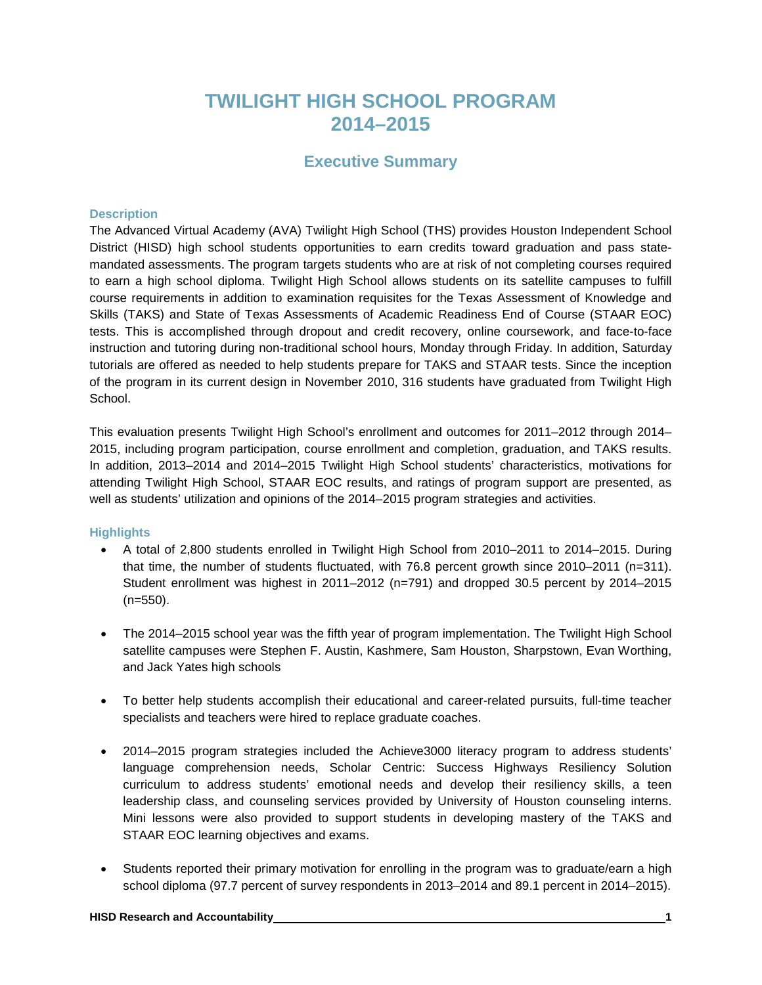# **TWILIGHT HIGH SCHOOL PROGRAM 2014–2015**

## **Executive Summary**

#### **Description**

The Advanced Virtual Academy (AVA) Twilight High School (THS) provides Houston Independent School District (HISD) high school students opportunities to earn credits toward graduation and pass statemandated assessments. The program targets students who are at risk of not completing courses required to earn a high school diploma. Twilight High School allows students on its satellite campuses to fulfill course requirements in addition to examination requisites for the Texas Assessment of Knowledge and Skills (TAKS) and State of Texas Assessments of Academic Readiness End of Course (STAAR EOC) tests. This is accomplished through dropout and credit recovery, online coursework, and face-to-face instruction and tutoring during non-traditional school hours, Monday through Friday. In addition, Saturday tutorials are offered as needed to help students prepare for TAKS and STAAR tests. Since the inception of the program in its current design in November 2010, 316 students have graduated from Twilight High School.

This evaluation presents Twilight High School's enrollment and outcomes for 2011–2012 through 2014– 2015, including program participation, course enrollment and completion, graduation, and TAKS results. In addition, 2013–2014 and 2014–2015 Twilight High School students' characteristics, motivations for attending Twilight High School, STAAR EOC results, and ratings of program support are presented, as well as students' utilization and opinions of the 2014–2015 program strategies and activities.

#### **Highlights**

- A total of 2,800 students enrolled in Twilight High School from 2010–2011 to 2014–2015. During that time, the number of students fluctuated, with 76.8 percent growth since 2010–2011 (n=311). Student enrollment was highest in 2011–2012 (n=791) and dropped 30.5 percent by 2014–2015 (n=550).
- The 2014–2015 school year was the fifth year of program implementation. The Twilight High School satellite campuses were Stephen F. Austin, Kashmere, Sam Houston, Sharpstown, Evan Worthing, and Jack Yates high schools
- To better help students accomplish their educational and career-related pursuits, full-time teacher specialists and teachers were hired to replace graduate coaches.
- 2014–2015 program strategies included the Achieve3000 literacy program to address students' language comprehension needs, Scholar Centric: Success Highways Resiliency Solution curriculum to address students' emotional needs and develop their resiliency skills, a teen leadership class, and counseling services provided by University of Houston counseling interns. Mini lessons were also provided to support students in developing mastery of the TAKS and STAAR EOC learning objectives and exams.
- Students reported their primary motivation for enrolling in the program was to graduate/earn a high school diploma (97.7 percent of survey respondents in 2013–2014 and 89.1 percent in 2014–2015).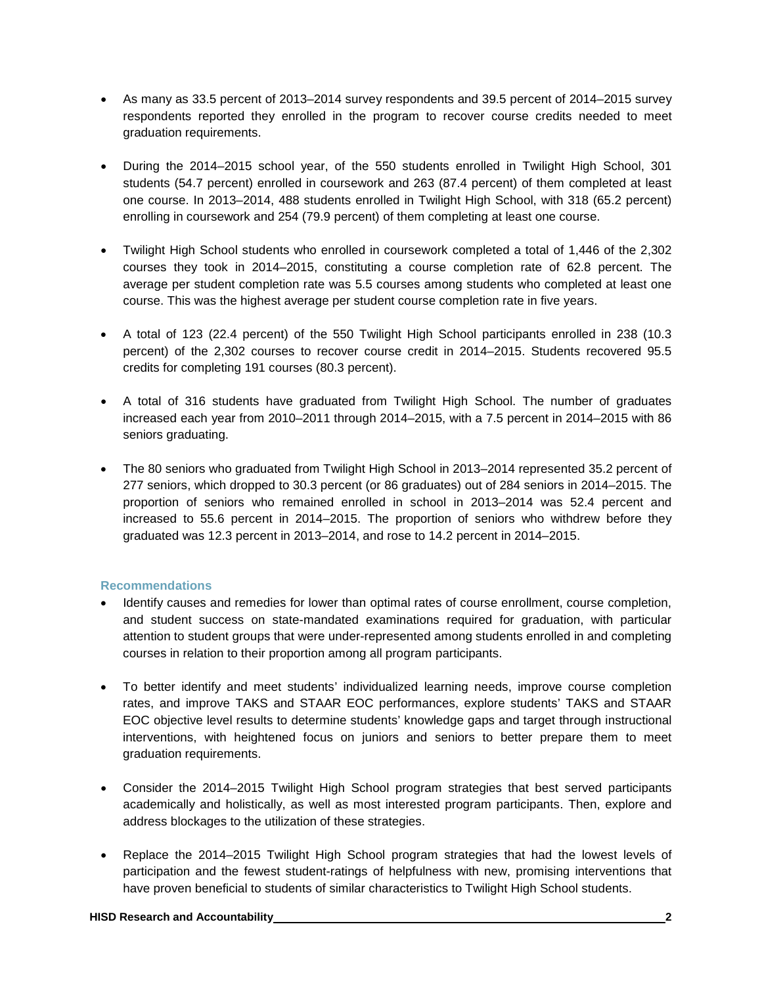- As many as 33.5 percent of 2013–2014 survey respondents and 39.5 percent of 2014–2015 survey respondents reported they enrolled in the program to recover course credits needed to meet graduation requirements.
- During the 2014–2015 school year, of the 550 students enrolled in Twilight High School, 301 students (54.7 percent) enrolled in coursework and 263 (87.4 percent) of them completed at least one course. In 2013–2014, 488 students enrolled in Twilight High School, with 318 (65.2 percent) enrolling in coursework and 254 (79.9 percent) of them completing at least one course.
- Twilight High School students who enrolled in coursework completed a total of 1,446 of the 2,302 courses they took in 2014–2015, constituting a course completion rate of 62.8 percent. The average per student completion rate was 5.5 courses among students who completed at least one course. This was the highest average per student course completion rate in five years.
- A total of 123 (22.4 percent) of the 550 Twilight High School participants enrolled in 238 (10.3 percent) of the 2,302 courses to recover course credit in 2014–2015. Students recovered 95.5 credits for completing 191 courses (80.3 percent).
- A total of 316 students have graduated from Twilight High School. The number of graduates increased each year from 2010–2011 through 2014–2015, with a 7.5 percent in 2014–2015 with 86 seniors graduating.
- The 80 seniors who graduated from Twilight High School in 2013–2014 represented 35.2 percent of 277 seniors, which dropped to 30.3 percent (or 86 graduates) out of 284 seniors in 2014–2015. The proportion of seniors who remained enrolled in school in 2013–2014 was 52.4 percent and increased to 55.6 percent in 2014–2015. The proportion of seniors who withdrew before they graduated was 12.3 percent in 2013–2014, and rose to 14.2 percent in 2014–2015.

#### **Recommendations**

- Identify causes and remedies for lower than optimal rates of course enrollment, course completion, and student success on state-mandated examinations required for graduation, with particular attention to student groups that were under-represented among students enrolled in and completing courses in relation to their proportion among all program participants.
- To better identify and meet students' individualized learning needs, improve course completion rates, and improve TAKS and STAAR EOC performances, explore students' TAKS and STAAR EOC objective level results to determine students' knowledge gaps and target through instructional interventions, with heightened focus on juniors and seniors to better prepare them to meet graduation requirements.
- Consider the 2014–2015 Twilight High School program strategies that best served participants academically and holistically, as well as most interested program participants. Then, explore and address blockages to the utilization of these strategies.
- Replace the 2014–2015 Twilight High School program strategies that had the lowest levels of participation and the fewest student-ratings of helpfulness with new, promising interventions that have proven beneficial to students of similar characteristics to Twilight High School students.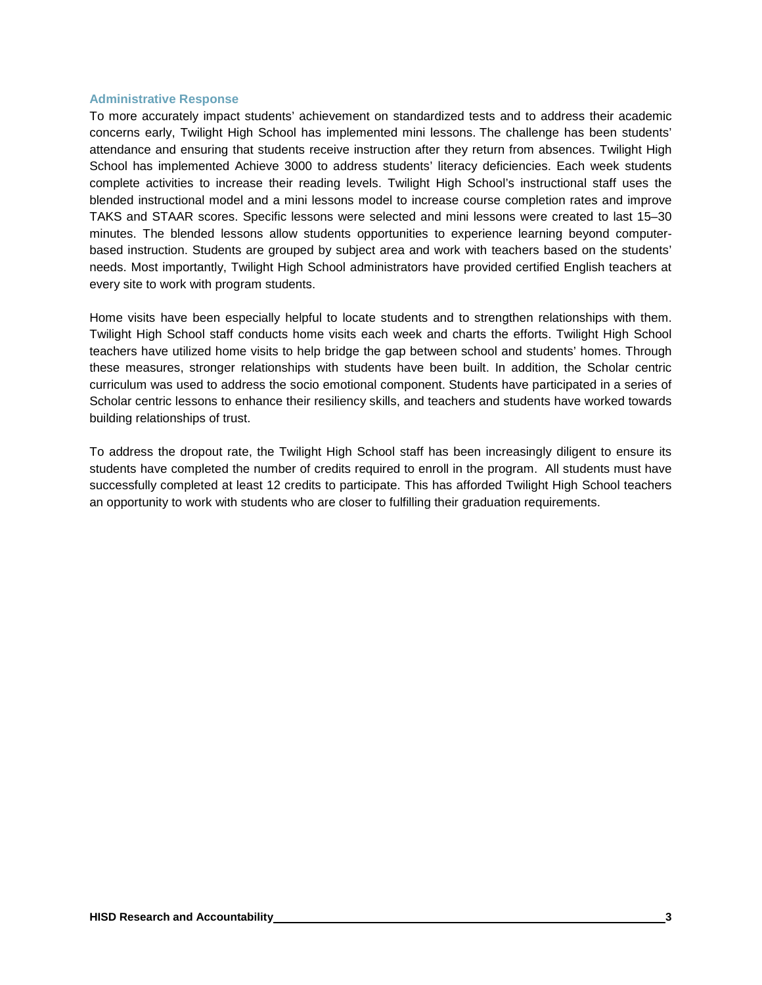#### **Administrative Response**

To more accurately impact students' achievement on standardized tests and to address their academic concerns early, Twilight High School has implemented mini lessons. The challenge has been students' attendance and ensuring that students receive instruction after they return from absences. Twilight High School has implemented Achieve 3000 to address students' literacy deficiencies. Each week students complete activities to increase their reading levels. Twilight High School's instructional staff uses the blended instructional model and a mini lessons model to increase course completion rates and improve TAKS and STAAR scores. Specific lessons were selected and mini lessons were created to last 15–30 minutes. The blended lessons allow students opportunities to experience learning beyond computerbased instruction. Students are grouped by subject area and work with teachers based on the students' needs. Most importantly, Twilight High School administrators have provided certified English teachers at every site to work with program students.

Home visits have been especially helpful to locate students and to strengthen relationships with them. Twilight High School staff conducts home visits each week and charts the efforts. Twilight High School teachers have utilized home visits to help bridge the gap between school and students' homes. Through these measures, stronger relationships with students have been built. In addition, the Scholar centric curriculum was used to address the socio emotional component. Students have participated in a series of Scholar centric lessons to enhance their resiliency skills, and teachers and students have worked towards building relationships of trust.

To address the dropout rate, the Twilight High School staff has been increasingly diligent to ensure its students have completed the number of credits required to enroll in the program. All students must have successfully completed at least 12 credits to participate. This has afforded Twilight High School teachers an opportunity to work with students who are closer to fulfilling their graduation requirements.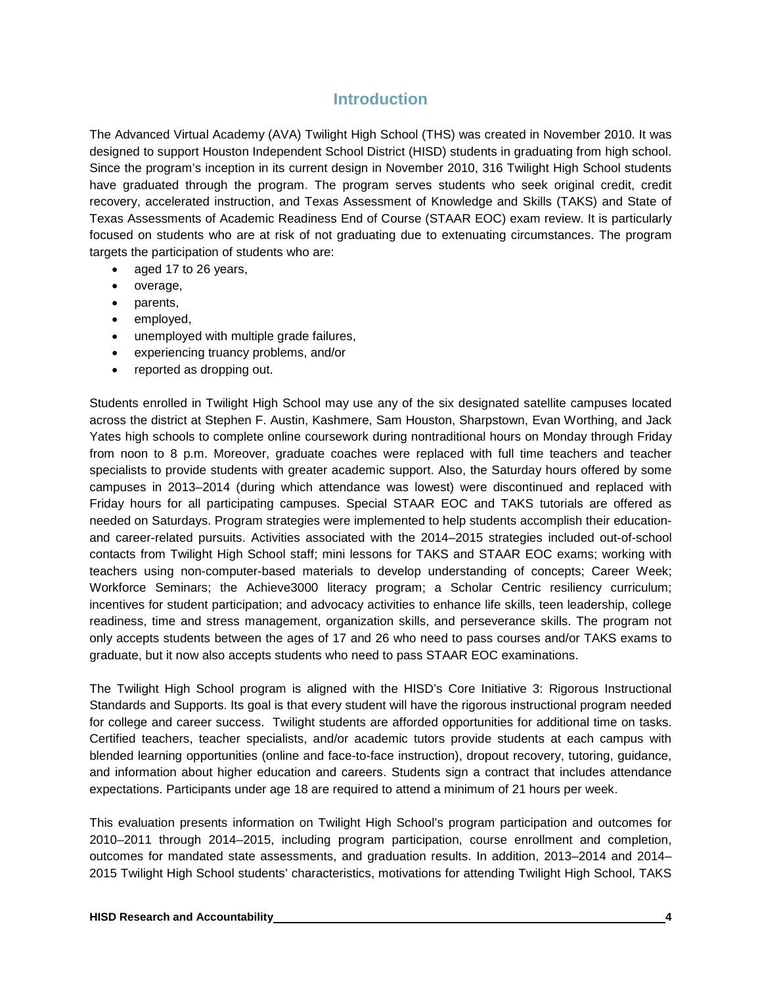## **Introduction**

The Advanced Virtual Academy (AVA) Twilight High School (THS) was created in November 2010. It was designed to support Houston Independent School District (HISD) students in graduating from high school. Since the program's inception in its current design in November 2010, 316 Twilight High School students have graduated through the program. The program serves students who seek original credit, credit recovery, accelerated instruction, and Texas Assessment of Knowledge and Skills (TAKS) and State of Texas Assessments of Academic Readiness End of Course (STAAR EOC) exam review. It is particularly focused on students who are at risk of not graduating due to extenuating circumstances. The program targets the participation of students who are:

- aged 17 to 26 years,
- overage,
- parents,
- employed,
- unemployed with multiple grade failures,
- experiencing truancy problems, and/or
- reported as dropping out.

Students enrolled in Twilight High School may use any of the six designated satellite campuses located across the district at Stephen F. Austin, Kashmere, Sam Houston, Sharpstown, Evan Worthing, and Jack Yates high schools to complete online coursework during nontraditional hours on Monday through Friday from noon to 8 p.m. Moreover, graduate coaches were replaced with full time teachers and teacher specialists to provide students with greater academic support. Also, the Saturday hours offered by some campuses in 2013–2014 (during which attendance was lowest) were discontinued and replaced with Friday hours for all participating campuses. Special STAAR EOC and TAKS tutorials are offered as needed on Saturdays. Program strategies were implemented to help students accomplish their educationand career-related pursuits. Activities associated with the 2014–2015 strategies included out-of-school contacts from Twilight High School staff; mini lessons for TAKS and STAAR EOC exams; working with teachers using non-computer-based materials to develop understanding of concepts; Career Week; Workforce Seminars; the Achieve3000 literacy program; a Scholar Centric resiliency curriculum; incentives for student participation; and advocacy activities to enhance life skills, teen leadership, college readiness, time and stress management, organization skills, and perseverance skills. The program not only accepts students between the ages of 17 and 26 who need to pass courses and/or TAKS exams to graduate, but it now also accepts students who need to pass STAAR EOC examinations.

The Twilight High School program is aligned with the HISD's Core Initiative 3: Rigorous Instructional Standards and Supports. Its goal is that every student will have the rigorous instructional program needed for college and career success. Twilight students are afforded opportunities for additional time on tasks. Certified teachers, teacher specialists, and/or academic tutors provide students at each campus with blended learning opportunities (online and face-to-face instruction), dropout recovery, tutoring, guidance, and information about higher education and careers. Students sign a contract that includes attendance expectations. Participants under age 18 are required to attend a minimum of 21 hours per week.

This evaluation presents information on Twilight High School's program participation and outcomes for 2010–2011 through 2014–2015, including program participation, course enrollment and completion, outcomes for mandated state assessments, and graduation results. In addition, 2013–2014 and 2014– 2015 Twilight High School students' characteristics, motivations for attending Twilight High School, TAKS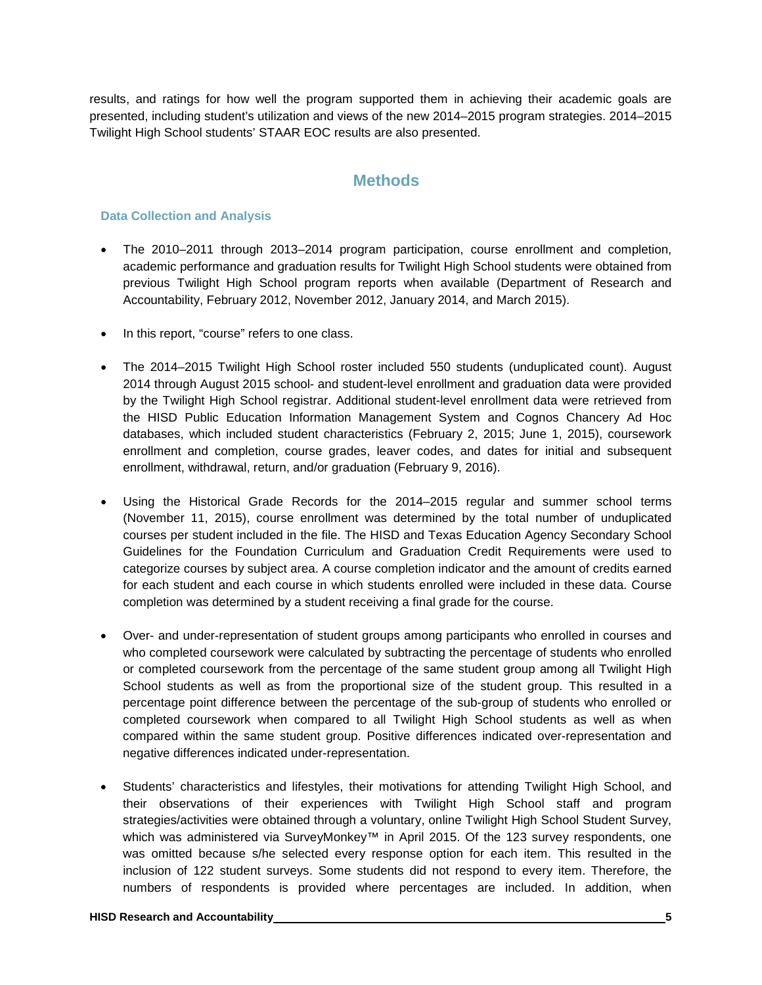results, and ratings for how well the program supported them in achieving their academic goals are presented, including student's utilization and views of the new 2014–2015 program strategies. 2014–2015 Twilight High School students' STAAR EOC results are also presented.

## **Methods**

#### **Data Collection and Analysis**

- The 2010–2011 through 2013–2014 program participation, course enrollment and completion, academic performance and graduation results for Twilight High School students were obtained from previous Twilight High School program reports when available (Department of Research and Accountability, February 2012, November 2012, January 2014, and March 2015).
- In this report, "course" refers to one class.
- The 2014–2015 Twilight High School roster included 550 students (unduplicated count). August 2014 through August 2015 school- and student-level enrollment and graduation data were provided by the Twilight High School registrar. Additional student-level enrollment data were retrieved from the HISD Public Education Information Management System and Cognos Chancery Ad Hoc databases, which included student characteristics (February 2, 2015; June 1, 2015), coursework enrollment and completion, course grades, leaver codes, and dates for initial and subsequent enrollment, withdrawal, return, and/or graduation (February 9, 2016).
- Using the Historical Grade Records for the 2014–2015 regular and summer school terms (November 11, 2015), course enrollment was determined by the total number of unduplicated courses per student included in the file. The HISD and Texas Education Agency Secondary School Guidelines for the Foundation Curriculum and Graduation Credit Requirements were used to categorize courses by subject area. A course completion indicator and the amount of credits earned for each student and each course in which students enrolled were included in these data. Course completion was determined by a student receiving a final grade for the course.
- Over- and under-representation of student groups among participants who enrolled in courses and who completed coursework were calculated by subtracting the percentage of students who enrolled or completed coursework from the percentage of the same student group among all Twilight High School students as well as from the proportional size of the student group. This resulted in a percentage point difference between the percentage of the sub-group of students who enrolled or completed coursework when compared to all Twilight High School students as well as when compared within the same student group. Positive differences indicated over-representation and negative differences indicated under-representation.
- Students' characteristics and lifestyles, their motivations for attending Twilight High School, and their observations of their experiences with Twilight High School staff and program strategies/activities were obtained through a voluntary, online Twilight High School Student Survey, which was administered via SurveyMonkey™ in April 2015. Of the 123 survey respondents, one was omitted because s/he selected every response option for each item. This resulted in the inclusion of 122 student surveys. Some students did not respond to every item. Therefore, the numbers of respondents is provided where percentages are included. In addition, when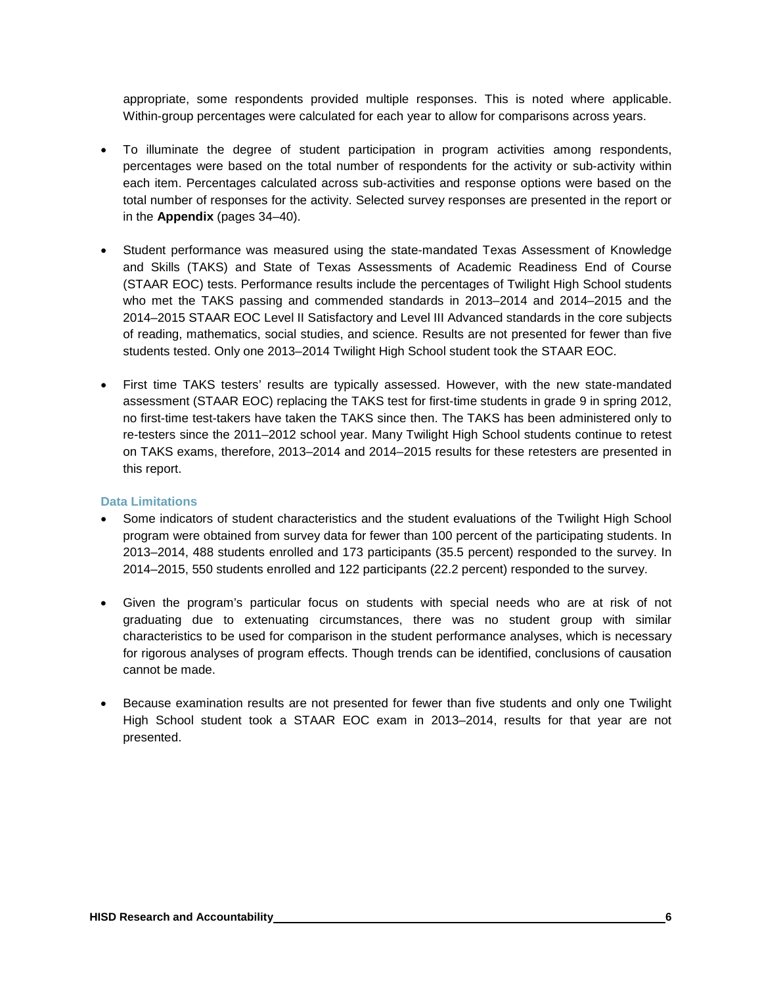appropriate, some respondents provided multiple responses. This is noted where applicable. Within-group percentages were calculated for each year to allow for comparisons across years.

- To illuminate the degree of student participation in program activities among respondents, percentages were based on the total number of respondents for the activity or sub-activity within each item. Percentages calculated across sub-activities and response options were based on the total number of responses for the activity. Selected survey responses are presented in the report or in the **Appendix** (pages 34–40).
- Student performance was measured using the state-mandated Texas Assessment of Knowledge and Skills (TAKS) and State of Texas Assessments of Academic Readiness End of Course (STAAR EOC) tests. Performance results include the percentages of Twilight High School students who met the TAKS passing and commended standards in 2013–2014 and 2014–2015 and the 2014–2015 STAAR EOC Level II Satisfactory and Level III Advanced standards in the core subjects of reading, mathematics, social studies, and science. Results are not presented for fewer than five students tested. Only one 2013–2014 Twilight High School student took the STAAR EOC.
- First time TAKS testers' results are typically assessed. However, with the new state-mandated assessment (STAAR EOC) replacing the TAKS test for first-time students in grade 9 in spring 2012, no first-time test-takers have taken the TAKS since then. The TAKS has been administered only to re-testers since the 2011–2012 school year. Many Twilight High School students continue to retest on TAKS exams, therefore, 2013–2014 and 2014–2015 results for these retesters are presented in this report.

#### **Data Limitations**

- Some indicators of student characteristics and the student evaluations of the Twilight High School program were obtained from survey data for fewer than 100 percent of the participating students. In 2013–2014, 488 students enrolled and 173 participants (35.5 percent) responded to the survey. In 2014–2015, 550 students enrolled and 122 participants (22.2 percent) responded to the survey.
- Given the program's particular focus on students with special needs who are at risk of not graduating due to extenuating circumstances, there was no student group with similar characteristics to be used for comparison in the student performance analyses, which is necessary for rigorous analyses of program effects. Though trends can be identified, conclusions of causation cannot be made.
- Because examination results are not presented for fewer than five students and only one Twilight High School student took a STAAR EOC exam in 2013–2014, results for that year are not presented.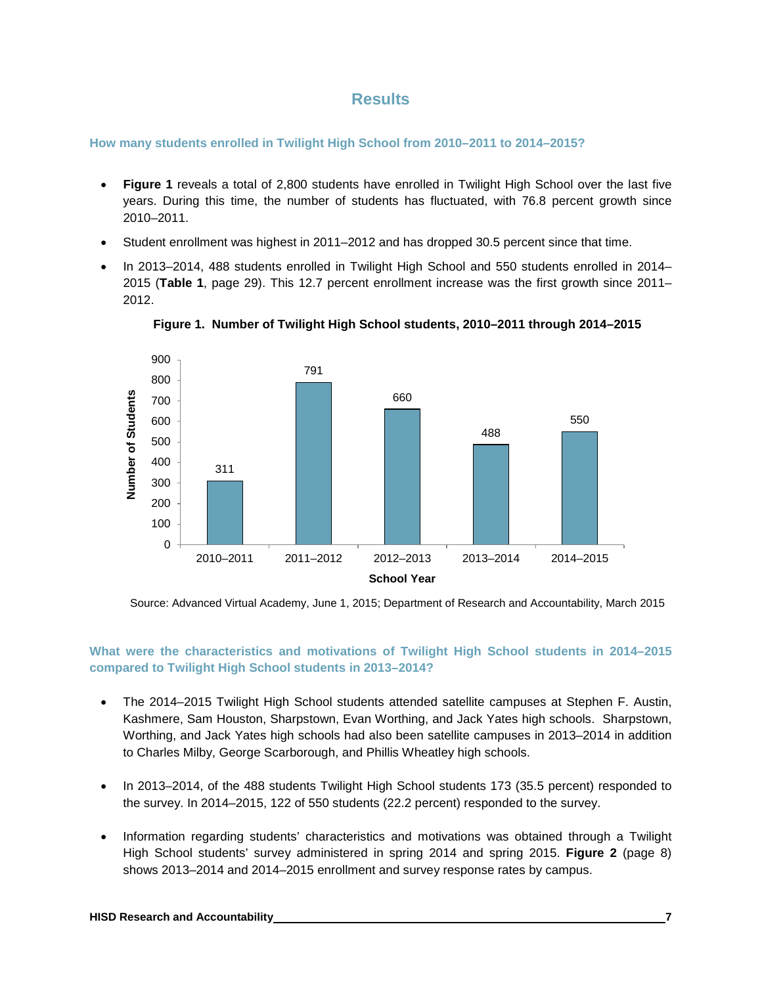## **Results**

**How many students enrolled in Twilight High School from 2010–2011 to 2014–2015?**

- **Figure 1** reveals a total of 2,800 students have enrolled in Twilight High School over the last five years. During this time, the number of students has fluctuated, with 76.8 percent growth since 2010–2011.
- Student enrollment was highest in 2011–2012 and has dropped 30.5 percent since that time.
- In 2013–2014, 488 students enrolled in Twilight High School and 550 students enrolled in 2014– 2015 (**Table 1**, page 29). This 12.7 percent enrollment increase was the first growth since 2011– 2012.



**Figure 1. Number of Twilight High School students, 2010–2011 through 2014–2015**

Source: Advanced Virtual Academy, June 1, 2015; Department of Research and Accountability, March 2015

#### **What were the characteristics and motivations of Twilight High School students in 2014–2015 compared to Twilight High School students in 2013–2014?**

- The 2014–2015 Twilight High School students attended satellite campuses at Stephen F. Austin, Kashmere, Sam Houston, Sharpstown, Evan Worthing, and Jack Yates high schools. Sharpstown, Worthing, and Jack Yates high schools had also been satellite campuses in 2013–2014 in addition to Charles Milby, George Scarborough, and Phillis Wheatley high schools.
- In 2013–2014, of the 488 students Twilight High School students 173 (35.5 percent) responded to the survey. In 2014–2015, 122 of 550 students (22.2 percent) responded to the survey.
- Information regarding students' characteristics and motivations was obtained through a Twilight High School students' survey administered in spring 2014 and spring 2015. **Figure 2** (page 8) shows 2013–2014 and 2014–2015 enrollment and survey response rates by campus.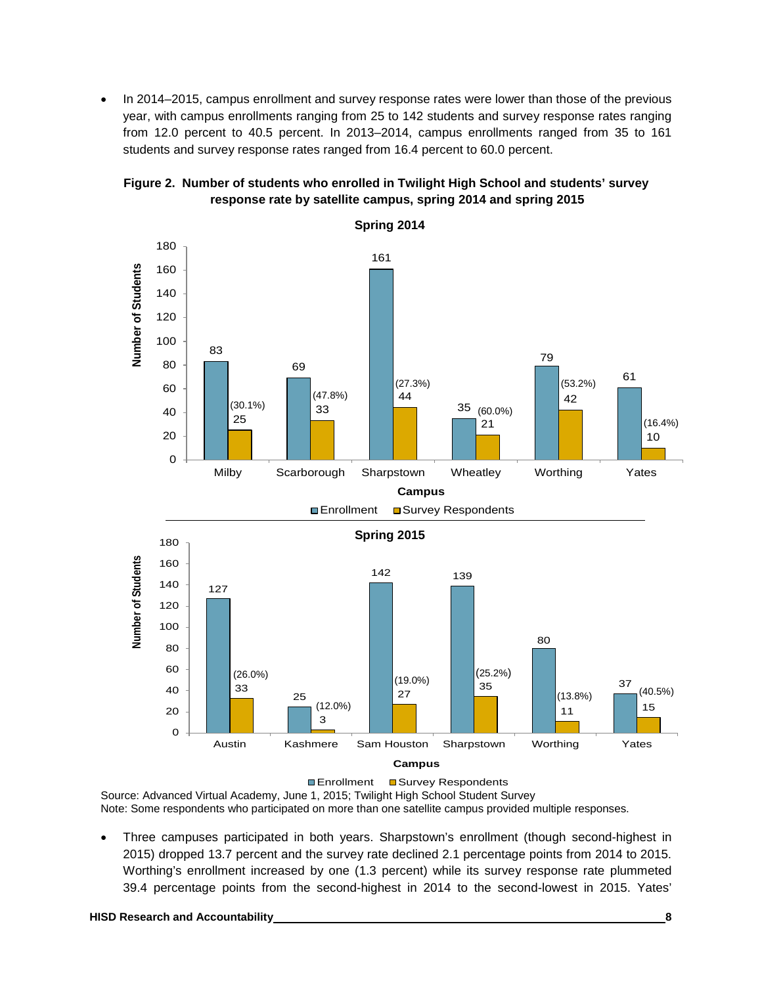• In 2014–2015, campus enrollment and survey response rates were lower than those of the previous year, with campus enrollments ranging from 25 to 142 students and survey response rates ranging from 12.0 percent to 40.5 percent. In 2013–2014, campus enrollments ranged from 35 to 161 students and survey response rates ranged from 16.4 percent to 60.0 percent.





Source: Advanced Virtual Academy, June 1, 2015; Twilight High School Student Survey

Note: Some respondents who participated on more than one satellite campus provided multiple responses.

• Three campuses participated in both years. Sharpstown's enrollment (though second-highest in 2015) dropped 13.7 percent and the survey rate declined 2.1 percentage points from 2014 to 2015. Worthing's enrollment increased by one (1.3 percent) while its survey response rate plummeted 39.4 percentage points from the second-highest in 2014 to the second-lowest in 2015. Yates'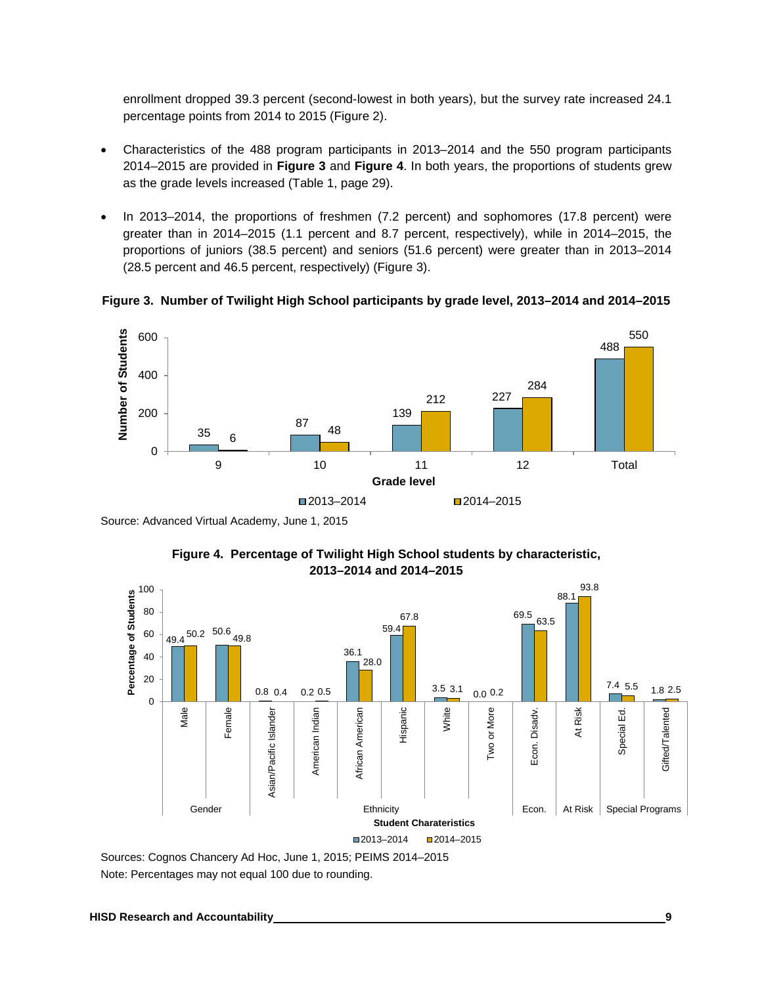enrollment dropped 39.3 percent (second-lowest in both years), but the survey rate increased 24.1 percentage points from 2014 to 2015 (Figure 2).

- Characteristics of the 488 program participants in 2013–2014 and the 550 program participants 2014–2015 are provided in **Figure 3** and **Figure 4**. In both years, the proportions of students grew as the grade levels increased (Table 1, page 29).
- In 2013–2014, the proportions of freshmen (7.2 percent) and sophomores (17.8 percent) were greater than in 2014–2015 (1.1 percent and 8.7 percent, respectively), while in 2014–2015, the proportions of juniors (38.5 percent) and seniors (51.6 percent) were greater than in 2013–2014 (28.5 percent and 46.5 percent, respectively) (Figure 3).

**Figure 3. Number of Twilight High School participants by grade level, 2013–2014 and 2014–2015**



Source: Advanced Virtual Academy, June 1, 2015



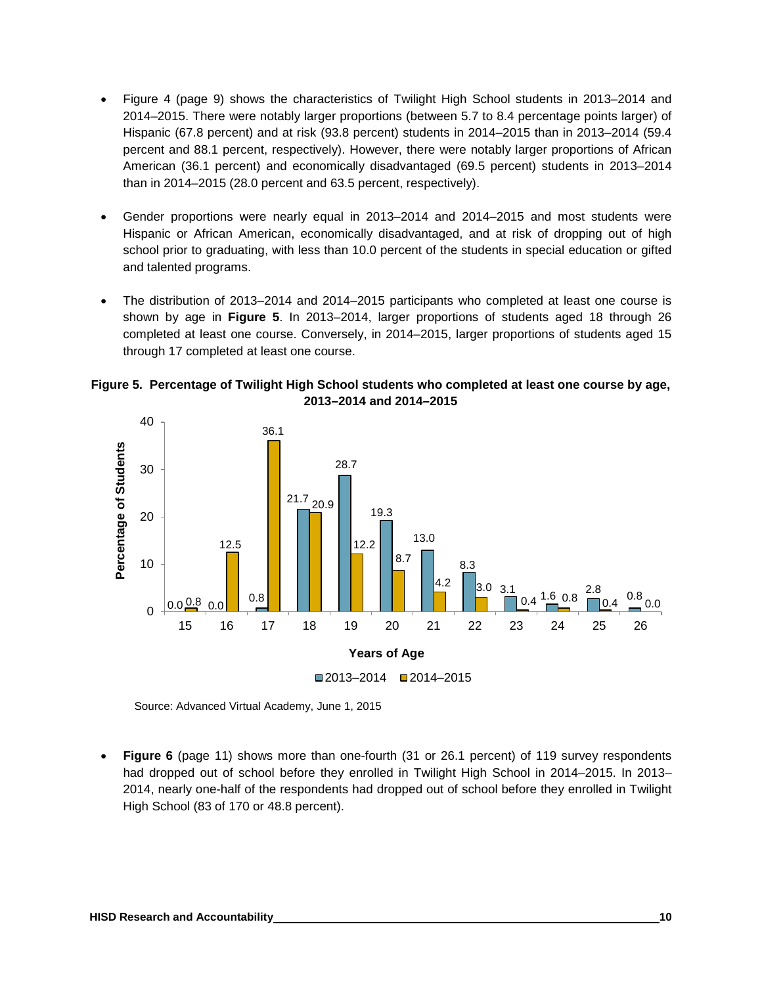- Figure 4 (page 9) shows the characteristics of Twilight High School students in 2013–2014 and 2014–2015. There were notably larger proportions (between 5.7 to 8.4 percentage points larger) of Hispanic (67.8 percent) and at risk (93.8 percent) students in 2014–2015 than in 2013–2014 (59.4 percent and 88.1 percent, respectively). However, there were notably larger proportions of African American (36.1 percent) and economically disadvantaged (69.5 percent) students in 2013–2014 than in 2014–2015 (28.0 percent and 63.5 percent, respectively).
- Gender proportions were nearly equal in 2013–2014 and 2014–2015 and most students were Hispanic or African American, economically disadvantaged, and at risk of dropping out of high school prior to graduating, with less than 10.0 percent of the students in special education or gifted and talented programs.
- The distribution of 2013–2014 and 2014–2015 participants who completed at least one course is shown by age in **Figure 5**. In 2013–2014, larger proportions of students aged 18 through 26 completed at least one course. Conversely, in 2014–2015, larger proportions of students aged 15 through 17 completed at least one course.





Source: Advanced Virtual Academy, June 1, 2015

**Figure 6** (page 11) shows more than one-fourth (31 or 26.1 percent) of 119 survey respondents had dropped out of school before they enrolled in Twilight High School in 2014–2015. In 2013– 2014, nearly one-half of the respondents had dropped out of school before they enrolled in Twilight High School (83 of 170 or 48.8 percent).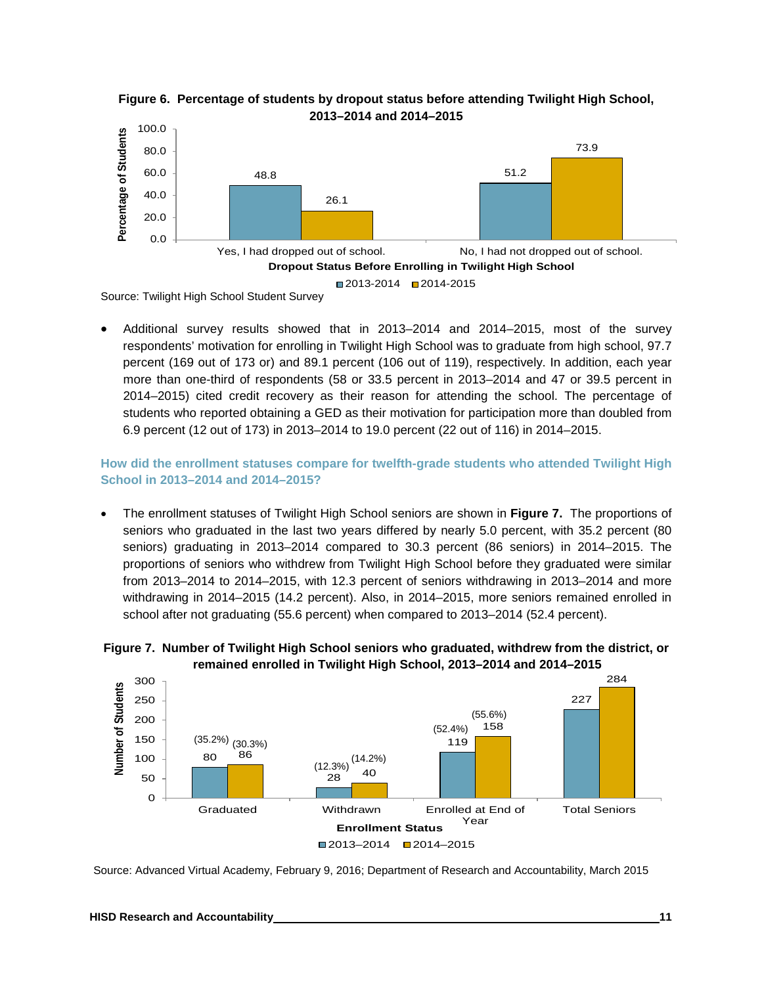



Source: Twilight High School Student Survey

• Additional survey results showed that in 2013–2014 and 2014–2015, most of the survey respondents' motivation for enrolling in Twilight High School was to graduate from high school, 97.7 percent (169 out of 173 or) and 89.1 percent (106 out of 119), respectively. In addition, each year more than one-third of respondents (58 or 33.5 percent in 2013–2014 and 47 or 39.5 percent in 2014–2015) cited credit recovery as their reason for attending the school. The percentage of students who reported obtaining a GED as their motivation for participation more than doubled from 6.9 percent (12 out of 173) in 2013–2014 to 19.0 percent (22 out of 116) in 2014–2015.

**How did the enrollment statuses compare for twelfth-grade students who attended Twilight High School in 2013–2014 and 2014–2015?** 

• The enrollment statuses of Twilight High School seniors are shown in **Figure 7.** The proportions of seniors who graduated in the last two years differed by nearly 5.0 percent, with 35.2 percent (80 seniors) graduating in 2013–2014 compared to 30.3 percent (86 seniors) in 2014–2015. The proportions of seniors who withdrew from Twilight High School before they graduated were similar from 2013–2014 to 2014–2015, with 12.3 percent of seniors withdrawing in 2013–2014 and more withdrawing in 2014–2015 (14.2 percent). Also, in 2014–2015, more seniors remained enrolled in school after not graduating (55.6 percent) when compared to 2013–2014 (52.4 percent).



**Figure 7. Number of Twilight High School seniors who graduated, withdrew from the district, or remained enrolled in Twilight High School, 2013–2014 and 2014–2015**

Source: Advanced Virtual Academy, February 9, 2016; Department of Research and Accountability, March 2015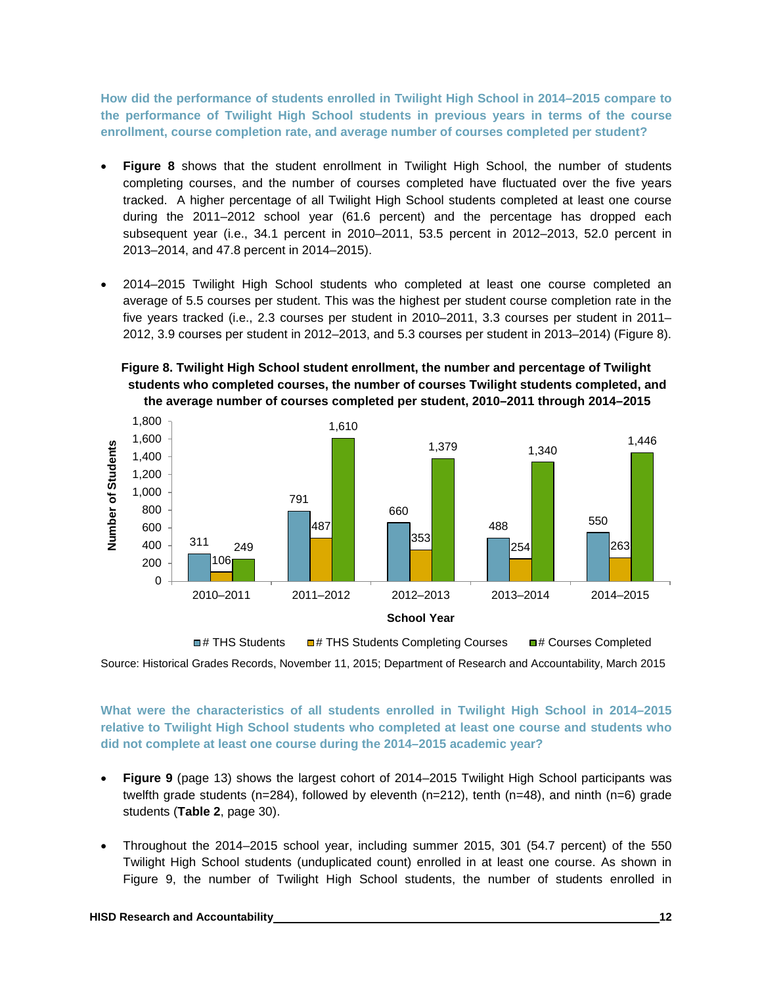**How did the performance of students enrolled in Twilight High School in 2014–2015 compare to the performance of Twilight High School students in previous years in terms of the course enrollment, course completion rate, and average number of courses completed per student?**

- **Figure 8** shows that the student enrollment in Twilight High School, the number of students completing courses, and the number of courses completed have fluctuated over the five years tracked. A higher percentage of all Twilight High School students completed at least one course during the 2011–2012 school year (61.6 percent) and the percentage has dropped each subsequent year (i.e., 34.1 percent in 2010–2011, 53.5 percent in 2012–2013, 52.0 percent in 2013–2014, and 47.8 percent in 2014–2015).
- 2014–2015 Twilight High School students who completed at least one course completed an average of 5.5 courses per student. This was the highest per student course completion rate in the five years tracked (i.e., 2.3 courses per student in 2010–2011, 3.3 courses per student in 2011– 2012, 3.9 courses per student in 2012–2013, and 5.3 courses per student in 2013–2014) (Figure 8).

**Figure 8. Twilight High School student enrollment, the number and percentage of Twilight students who completed courses, the number of courses Twilight students completed, and the average number of courses completed per student, 2010–2011 through 2014–2015**



Source: Historical Grades Records, November 11, 2015; Department of Research and Accountability, March 2015 **■# THS Students ■ # THS Students Completing Courses ■ # Courses Completed** 

**What were the characteristics of all students enrolled in Twilight High School in 2014–2015 relative to Twilight High School students who completed at least one course and students who did not complete at least one course during the 2014–2015 academic year?**

- **Figure 9** (page 13) shows the largest cohort of 2014–2015 Twilight High School participants was twelfth grade students (n=284), followed by eleventh (n=212), tenth (n=48), and ninth (n=6) grade students (**Table 2**, page 30).
- Throughout the 2014–2015 school year, including summer 2015, 301 (54.7 percent) of the 550 Twilight High School students (unduplicated count) enrolled in at least one course. As shown in Figure 9, the number of Twilight High School students, the number of students enrolled in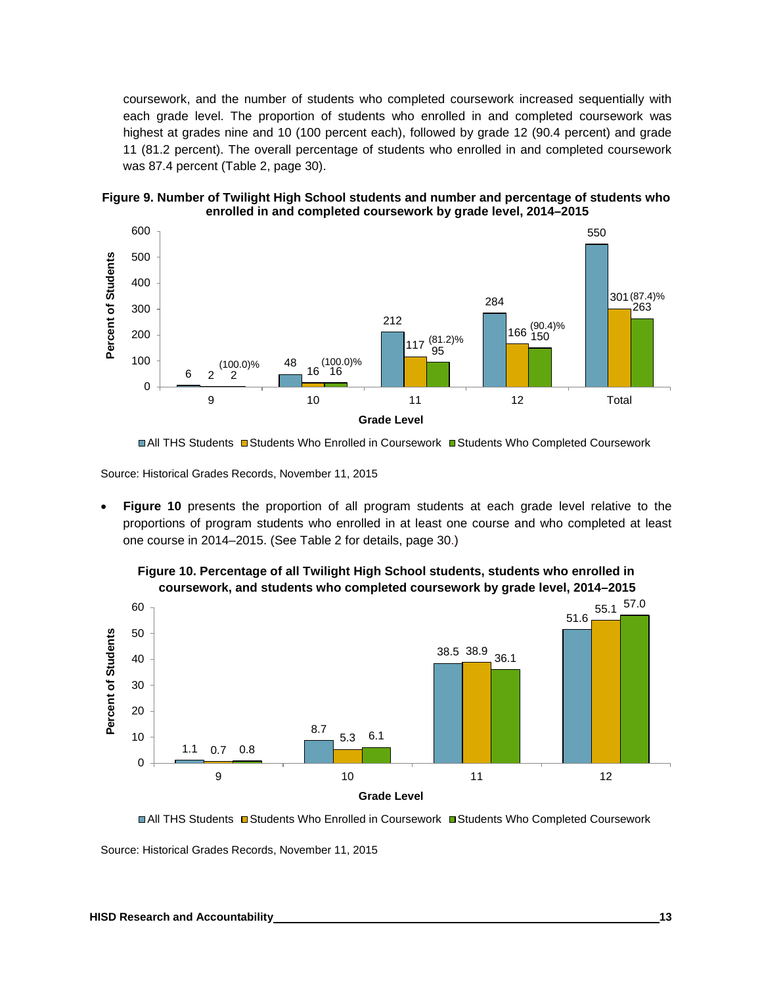coursework, and the number of students who completed coursework increased sequentially with each grade level. The proportion of students who enrolled in and completed coursework was highest at grades nine and 10 (100 percent each), followed by grade 12 (90.4 percent) and grade 11 (81.2 percent). The overall percentage of students who enrolled in and completed coursework was 87.4 percent (Table 2, page 30).





**<sup>■</sup>All THS Students ■Students Who Enrolled in Coursework ■Students Who Completed Coursework** 

Source: Historical Grades Records, November 11, 2015

• **Figure 10** presents the proportion of all program students at each grade level relative to the proportions of program students who enrolled in at least one course and who completed at least one course in 2014–2015. (See Table 2 for details, page 30.)

**Figure 10. Percentage of all Twilight High School students, students who enrolled in coursework, and students who completed coursework by grade level, 2014–2015**



**■All THS Students Budents Who Enrolled in Coursework Budents Who Completed Coursework** 

Source: Historical Grades Records, November 11, 2015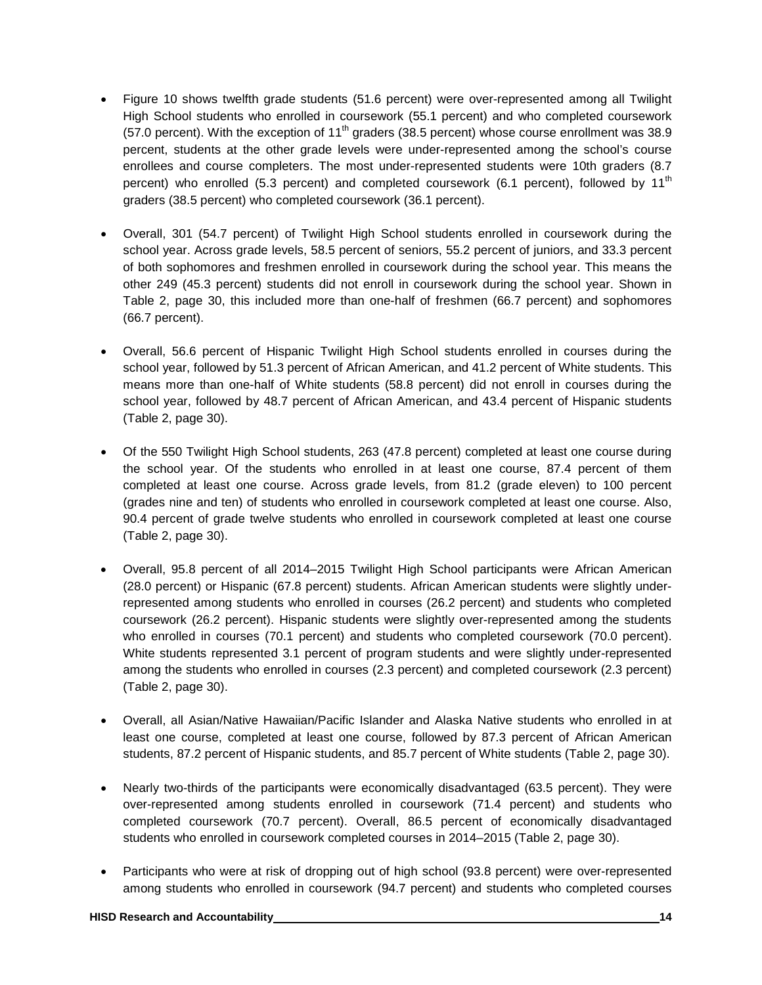- Figure 10 shows twelfth grade students (51.6 percent) were over-represented among all Twilight High School students who enrolled in coursework (55.1 percent) and who completed coursework (57.0 percent). With the exception of 11<sup>th</sup> graders (38.5 percent) whose course enrollment was 38.9 percent, students at the other grade levels were under-represented among the school's course enrollees and course completers. The most under-represented students were 10th graders (8.7 percent) who enrolled (5.3 percent) and completed coursework (6.1 percent), followed by  $11<sup>th</sup>$ graders (38.5 percent) who completed coursework (36.1 percent).
- Overall, 301 (54.7 percent) of Twilight High School students enrolled in coursework during the school year. Across grade levels, 58.5 percent of seniors, 55.2 percent of juniors, and 33.3 percent of both sophomores and freshmen enrolled in coursework during the school year. This means the other 249 (45.3 percent) students did not enroll in coursework during the school year. Shown in Table 2, page 30, this included more than one-half of freshmen (66.7 percent) and sophomores (66.7 percent).
- Overall, 56.6 percent of Hispanic Twilight High School students enrolled in courses during the school year, followed by 51.3 percent of African American, and 41.2 percent of White students. This means more than one-half of White students (58.8 percent) did not enroll in courses during the school year, followed by 48.7 percent of African American, and 43.4 percent of Hispanic students (Table 2, page 30).
- Of the 550 Twilight High School students, 263 (47.8 percent) completed at least one course during the school year. Of the students who enrolled in at least one course, 87.4 percent of them completed at least one course. Across grade levels, from 81.2 (grade eleven) to 100 percent (grades nine and ten) of students who enrolled in coursework completed at least one course. Also, 90.4 percent of grade twelve students who enrolled in coursework completed at least one course (Table 2, page 30).
- Overall, 95.8 percent of all 2014–2015 Twilight High School participants were African American (28.0 percent) or Hispanic (67.8 percent) students. African American students were slightly underrepresented among students who enrolled in courses (26.2 percent) and students who completed coursework (26.2 percent). Hispanic students were slightly over-represented among the students who enrolled in courses (70.1 percent) and students who completed coursework (70.0 percent). White students represented 3.1 percent of program students and were slightly under-represented among the students who enrolled in courses (2.3 percent) and completed coursework (2.3 percent) (Table 2, page 30).
- Overall, all Asian/Native Hawaiian/Pacific Islander and Alaska Native students who enrolled in at least one course, completed at least one course, followed by 87.3 percent of African American students, 87.2 percent of Hispanic students, and 85.7 percent of White students (Table 2, page 30).
- Nearly two-thirds of the participants were economically disadvantaged (63.5 percent). They were over-represented among students enrolled in coursework (71.4 percent) and students who completed coursework (70.7 percent). Overall, 86.5 percent of economically disadvantaged students who enrolled in coursework completed courses in 2014–2015 (Table 2, page 30).
- Participants who were at risk of dropping out of high school (93.8 percent) were over-represented among students who enrolled in coursework (94.7 percent) and students who completed courses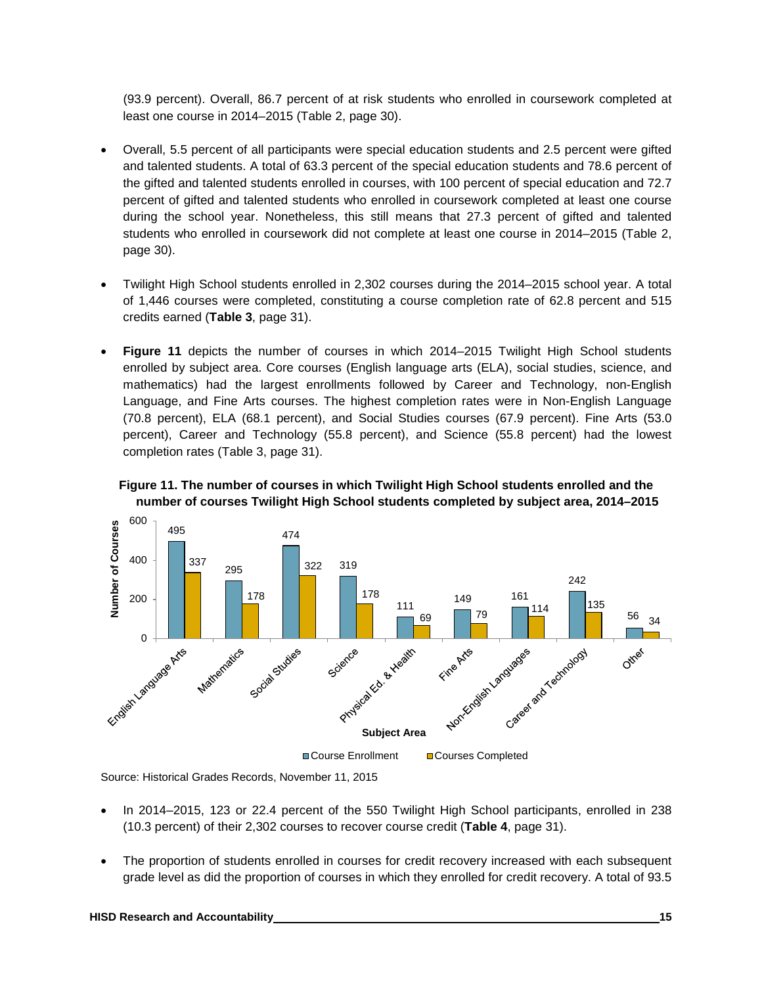(93.9 percent). Overall, 86.7 percent of at risk students who enrolled in coursework completed at least one course in 2014–2015 (Table 2, page 30).

- Overall, 5.5 percent of all participants were special education students and 2.5 percent were gifted and talented students. A total of 63.3 percent of the special education students and 78.6 percent of the gifted and talented students enrolled in courses, with 100 percent of special education and 72.7 percent of gifted and talented students who enrolled in coursework completed at least one course during the school year. Nonetheless, this still means that 27.3 percent of gifted and talented students who enrolled in coursework did not complete at least one course in 2014–2015 (Table 2, page 30).
- Twilight High School students enrolled in 2,302 courses during the 2014–2015 school year. A total of 1,446 courses were completed, constituting a course completion rate of 62.8 percent and 515 credits earned (**Table 3**, page 31).
- **Figure 11** depicts the number of courses in which 2014–2015 Twilight High School students enrolled by subject area. Core courses (English language arts (ELA), social studies, science, and mathematics) had the largest enrollments followed by Career and Technology, non-English Language, and Fine Arts courses. The highest completion rates were in Non-English Language (70.8 percent), ELA (68.1 percent), and Social Studies courses (67.9 percent). Fine Arts (53.0 percent), Career and Technology (55.8 percent), and Science (55.8 percent) had the lowest completion rates (Table 3, page 31).





Source: Historical Grades Records, November 11, 2015

- In 2014–2015, 123 or 22.4 percent of the 550 Twilight High School participants, enrolled in 238 (10.3 percent) of their 2,302 courses to recover course credit (**Table 4**, page 31).
- The proportion of students enrolled in courses for credit recovery increased with each subsequent grade level as did the proportion of courses in which they enrolled for credit recovery. A total of 93.5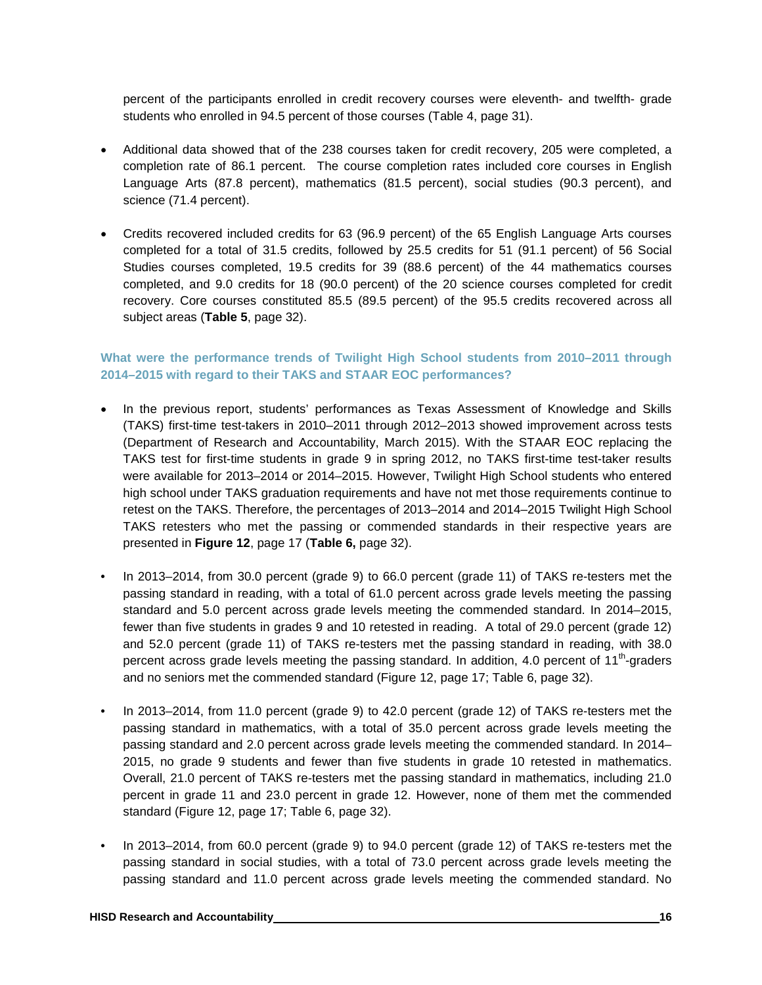percent of the participants enrolled in credit recovery courses were eleventh- and twelfth- grade students who enrolled in 94.5 percent of those courses (Table 4, page 31).

- Additional data showed that of the 238 courses taken for credit recovery, 205 were completed, a completion rate of 86.1 percent. The course completion rates included core courses in English Language Arts (87.8 percent), mathematics (81.5 percent), social studies (90.3 percent), and science (71.4 percent).
- Credits recovered included credits for 63 (96.9 percent) of the 65 English Language Arts courses completed for a total of 31.5 credits, followed by 25.5 credits for 51 (91.1 percent) of 56 Social Studies courses completed, 19.5 credits for 39 (88.6 percent) of the 44 mathematics courses completed, and 9.0 credits for 18 (90.0 percent) of the 20 science courses completed for credit recovery. Core courses constituted 85.5 (89.5 percent) of the 95.5 credits recovered across all subject areas (**Table 5**, page 32).

#### **What were the performance trends of Twilight High School students from 2010–2011 through 2014–2015 with regard to their TAKS and STAAR EOC performances?**

- In the previous report, students' performances as Texas Assessment of Knowledge and Skills (TAKS) first-time test-takers in 2010–2011 through 2012–2013 showed improvement across tests (Department of Research and Accountability, March 2015). With the STAAR EOC replacing the TAKS test for first-time students in grade 9 in spring 2012, no TAKS first-time test-taker results were available for 2013–2014 or 2014–2015. However, Twilight High School students who entered high school under TAKS graduation requirements and have not met those requirements continue to retest on the TAKS. Therefore, the percentages of 2013–2014 and 2014–2015 Twilight High School TAKS retesters who met the passing or commended standards in their respective years are presented in **Figure 12**, page 17 (**Table 6,** page 32).
- In 2013–2014, from 30.0 percent (grade 9) to 66.0 percent (grade 11) of TAKS re-testers met the passing standard in reading, with a total of 61.0 percent across grade levels meeting the passing standard and 5.0 percent across grade levels meeting the commended standard. In 2014–2015, fewer than five students in grades 9 and 10 retested in reading. A total of 29.0 percent (grade 12) and 52.0 percent (grade 11) of TAKS re-testers met the passing standard in reading, with 38.0 percent across grade levels meeting the passing standard. In addition, 4.0 percent of  $11<sup>th</sup>$ -graders and no seniors met the commended standard (Figure 12, page 17; Table 6, page 32).
- In 2013–2014, from 11.0 percent (grade 9) to 42.0 percent (grade 12) of TAKS re-testers met the passing standard in mathematics, with a total of 35.0 percent across grade levels meeting the passing standard and 2.0 percent across grade levels meeting the commended standard. In 2014– 2015, no grade 9 students and fewer than five students in grade 10 retested in mathematics. Overall, 21.0 percent of TAKS re-testers met the passing standard in mathematics, including 21.0 percent in grade 11 and 23.0 percent in grade 12. However, none of them met the commended standard (Figure 12, page 17; Table 6, page 32).
- In 2013–2014, from 60.0 percent (grade 9) to 94.0 percent (grade 12) of TAKS re-testers met the passing standard in social studies, with a total of 73.0 percent across grade levels meeting the passing standard and 11.0 percent across grade levels meeting the commended standard. No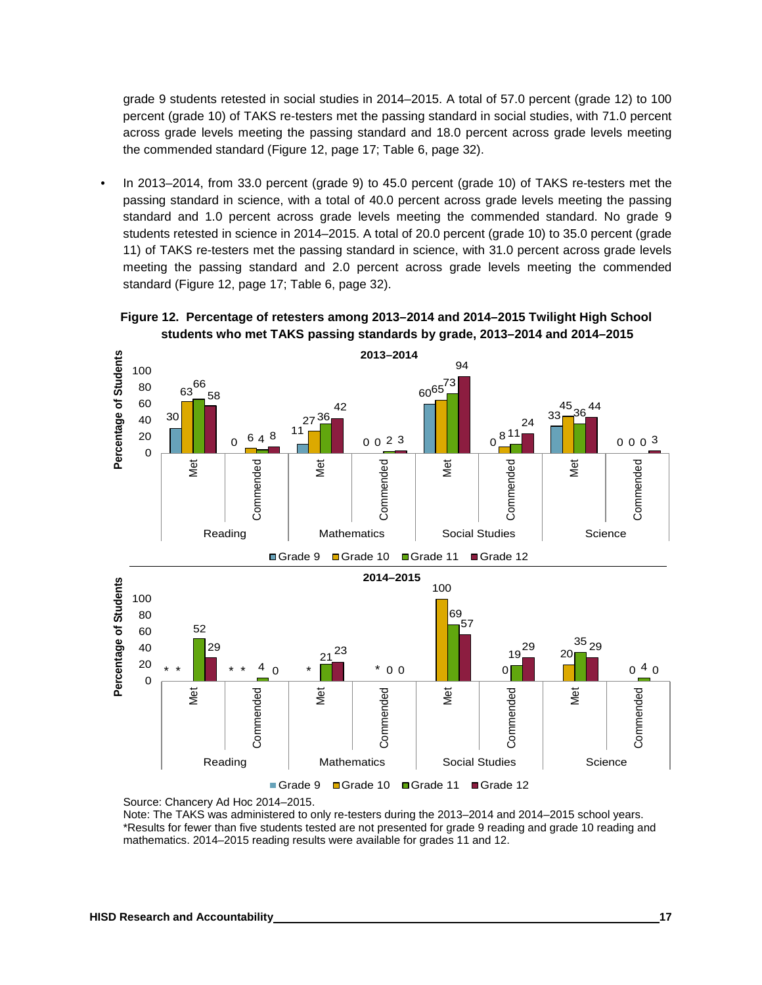grade 9 students retested in social studies in 2014–2015. A total of 57.0 percent (grade 12) to 100 percent (grade 10) of TAKS re-testers met the passing standard in social studies, with 71.0 percent across grade levels meeting the passing standard and 18.0 percent across grade levels meeting the commended standard (Figure 12, page 17; Table 6, page 32).

• In 2013–2014, from 33.0 percent (grade 9) to 45.0 percent (grade 10) of TAKS re-testers met the passing standard in science, with a total of 40.0 percent across grade levels meeting the passing standard and 1.0 percent across grade levels meeting the commended standard. No grade 9 students retested in science in 2014–2015. A total of 20.0 percent (grade 10) to 35.0 percent (grade 11) of TAKS re-testers met the passing standard in science, with 31.0 percent across grade levels meeting the passing standard and 2.0 percent across grade levels meeting the commended standard (Figure 12, page 17; Table 6, page 32).

**Figure 12. Percentage of retesters among 2013–2014 and 2014–2015 Twilight High School students who met TAKS passing standards by grade, 2013–2014 and 2014–2015**





Note: The TAKS was administered to only re-testers during the 2013–2014 and 2014–2015 school years. \*Results for fewer than five students tested are not presented for grade 9 reading and grade 10 reading and mathematics. 2014–2015 reading results were available for grades 11 and 12.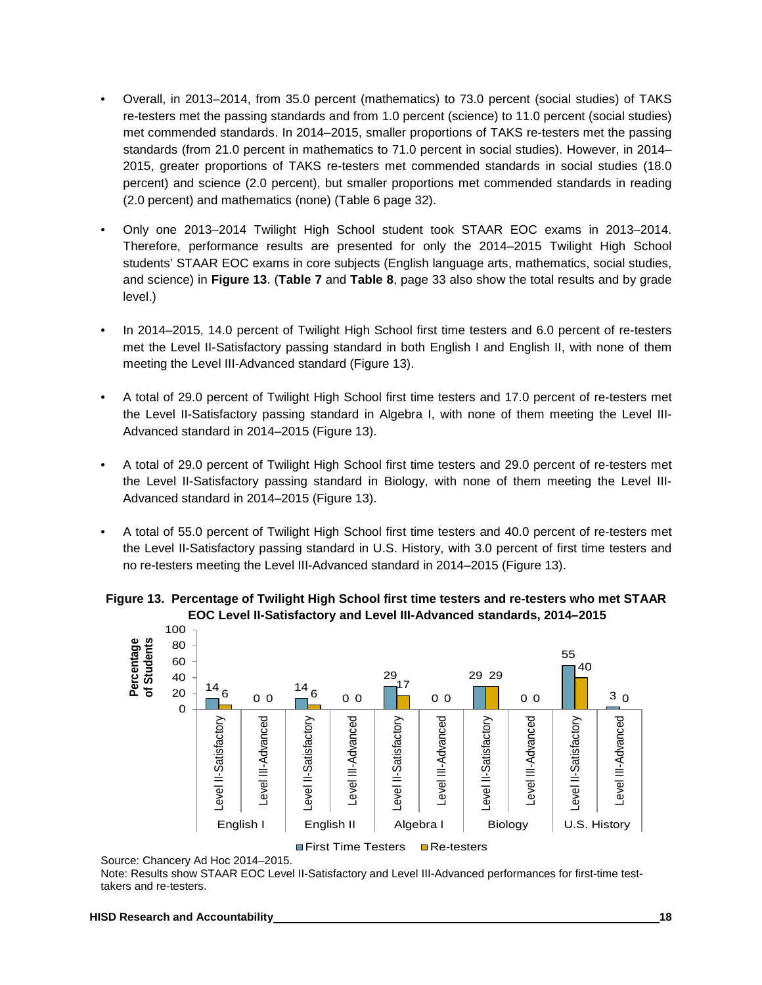- Overall, in 2013–2014, from 35.0 percent (mathematics) to 73.0 percent (social studies) of TAKS re-testers met the passing standards and from 1.0 percent (science) to 11.0 percent (social studies) met commended standards. In 2014–2015, smaller proportions of TAKS re-testers met the passing standards (from 21.0 percent in mathematics to 71.0 percent in social studies). However, in 2014– 2015, greater proportions of TAKS re-testers met commended standards in social studies (18.0 percent) and science (2.0 percent), but smaller proportions met commended standards in reading (2.0 percent) and mathematics (none) (Table 6 page 32).
- Only one 2013–2014 Twilight High School student took STAAR EOC exams in 2013–2014. Therefore, performance results are presented for only the 2014–2015 Twilight High School students' STAAR EOC exams in core subjects (English language arts, mathematics, social studies, and science) in **Figure 13**. (**Table 7** and **Table 8**, page 33 also show the total results and by grade level.)
- In 2014–2015, 14.0 percent of Twilight High School first time testers and 6.0 percent of re-testers met the Level II-Satisfactory passing standard in both English I and English II, with none of them meeting the Level III-Advanced standard (Figure 13).
- A total of 29.0 percent of Twilight High School first time testers and 17.0 percent of re-testers met the Level II-Satisfactory passing standard in Algebra I, with none of them meeting the Level III-Advanced standard in 2014–2015 (Figure 13).
- A total of 29.0 percent of Twilight High School first time testers and 29.0 percent of re-testers met the Level II-Satisfactory passing standard in Biology, with none of them meeting the Level III-Advanced standard in 2014–2015 (Figure 13).
- A total of 55.0 percent of Twilight High School first time testers and 40.0 percent of re-testers met the Level II-Satisfactory passing standard in U.S. History, with 3.0 percent of first time testers and no re-testers meeting the Level III-Advanced standard in 2014–2015 (Figure 13).

#### **Figure 13. Percentage of Twilight High School first time testers and re-testers who met STAAR EOC Level II-Satisfactory and Level III-Advanced standards, 2014–2015**



Source: Chancery Ad Hoc 2014–2015.

Note: Results show STAAR EOC Level II-Satisfactory and Level III-Advanced performances for first-time testtakers and re-testers.

#### **HISD Research and Accountability 18**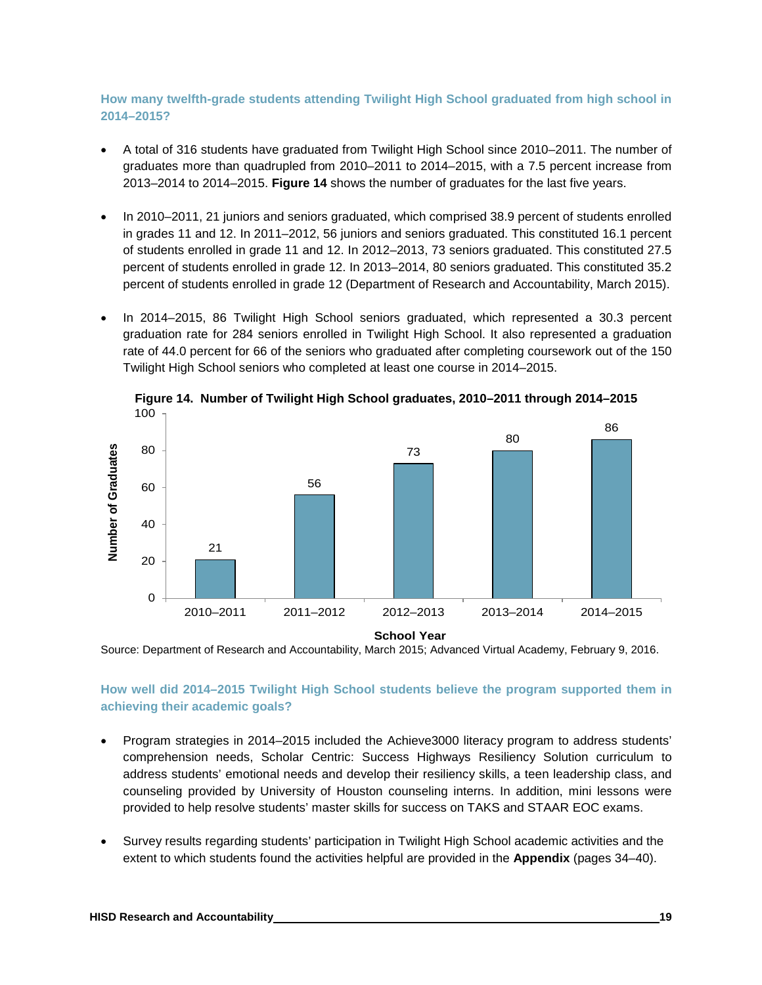#### **How many twelfth-grade students attending Twilight High School graduated from high school in 2014–2015?**

- A total of 316 students have graduated from Twilight High School since 2010–2011. The number of graduates more than quadrupled from 2010–2011 to 2014–2015, with a 7.5 percent increase from 2013–2014 to 2014–2015. **Figure 14** shows the number of graduates for the last five years.
- In 2010–2011, 21 juniors and seniors graduated, which comprised 38.9 percent of students enrolled in grades 11 and 12. In 2011–2012, 56 juniors and seniors graduated. This constituted 16.1 percent of students enrolled in grade 11 and 12. In 2012–2013, 73 seniors graduated. This constituted 27.5 percent of students enrolled in grade 12. In 2013–2014, 80 seniors graduated. This constituted 35.2 percent of students enrolled in grade 12 (Department of Research and Accountability, March 2015).
- In 2014–2015, 86 Twilight High School seniors graduated, which represented a 30.3 percent graduation rate for 284 seniors enrolled in Twilight High School. It also represented a graduation rate of 44.0 percent for 66 of the seniors who graduated after completing coursework out of the 150 Twilight High School seniors who completed at least one course in 2014–2015.



**Figure 14. Number of Twilight High School graduates, 2010–2011 through 2014–2015** 100

Source: Department of Research and Accountability, March 2015; Advanced Virtual Academy, February 9, 2016.

#### **How well did 2014–2015 Twilight High School students believe the program supported them in achieving their academic goals?**

- Program strategies in 2014–2015 included the Achieve3000 literacy program to address students' comprehension needs, Scholar Centric: Success Highways Resiliency Solution curriculum to address students' emotional needs and develop their resiliency skills, a teen leadership class, and counseling provided by University of Houston counseling interns. In addition, mini lessons were provided to help resolve students' master skills for success on TAKS and STAAR EOC exams.
- Survey results regarding students' participation in Twilight High School academic activities and the extent to which students found the activities helpful are provided in the **Appendix** (pages 34–40).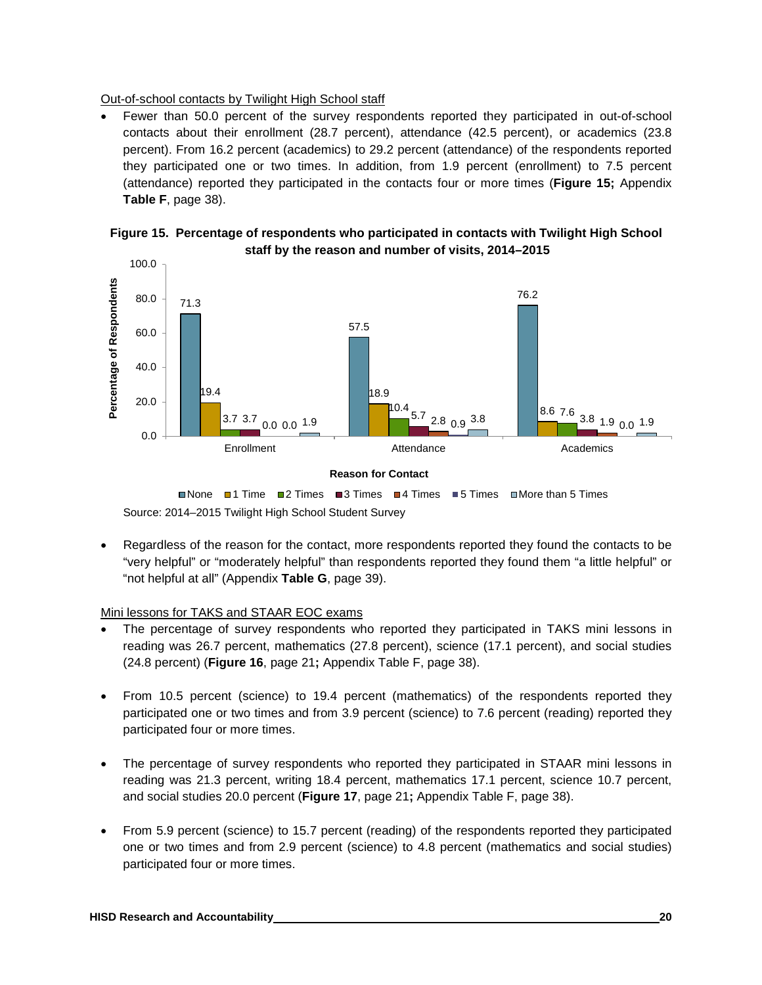Out-of-school contacts by Twilight High School staff

• Fewer than 50.0 percent of the survey respondents reported they participated in out-of-school contacts about their enrollment (28.7 percent), attendance (42.5 percent), or academics (23.8 percent). From 16.2 percent (academics) to 29.2 percent (attendance) of the respondents reported they participated one or two times. In addition, from 1.9 percent (enrollment) to 7.5 percent (attendance) reported they participated in the contacts four or more times (**Figure 15;** Appendix **Table F**, page 38).





Source: 2014–2015 Twilight High School Student Survey ■None ■1 Time ■2 Times ■3 Times ■4 Times ■5 Times ■More than 5 Times

• Regardless of the reason for the contact, more respondents reported they found the contacts to be "very helpful" or "moderately helpful" than respondents reported they found them "a little helpful" or "not helpful at all" (Appendix **Table G**, page 39).

#### Mini lessons for TAKS and STAAR EOC exams

- The percentage of survey respondents who reported they participated in TAKS mini lessons in reading was 26.7 percent, mathematics (27.8 percent), science (17.1 percent), and social studies (24.8 percent) (**Figure 16**, page 21**;** Appendix Table F, page 38).
- From 10.5 percent (science) to 19.4 percent (mathematics) of the respondents reported they participated one or two times and from 3.9 percent (science) to 7.6 percent (reading) reported they participated four or more times.
- The percentage of survey respondents who reported they participated in STAAR mini lessons in reading was 21.3 percent, writing 18.4 percent, mathematics 17.1 percent, science 10.7 percent, and social studies 20.0 percent (**Figure 17**, page 21**;** Appendix Table F, page 38).
- From 5.9 percent (science) to 15.7 percent (reading) of the respondents reported they participated one or two times and from 2.9 percent (science) to 4.8 percent (mathematics and social studies) participated four or more times.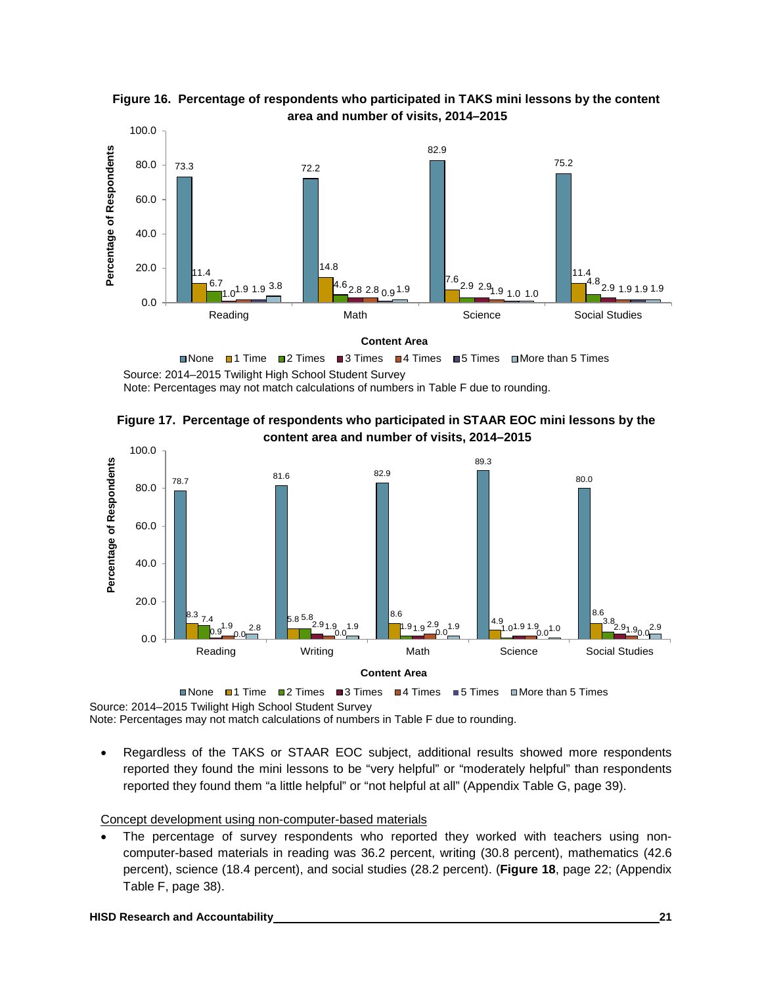

**Figure 16. Percentage of respondents who participated in TAKS mini lessons by the content area and number of visits, 2014–2015**

Source: 2014–2015 Twilight High School Student Survey Note: Percentages may not match calculations of numbers in Table F due to rounding.





Source: 2014–2015 Twilight High School Student Survey ■None ■1 Time ■2 Times ■3 Times ■4 Times ■5 Times ■More than 5 Times

Note: Percentages may not match calculations of numbers in Table F due to rounding.

• Regardless of the TAKS or STAAR EOC subject, additional results showed more respondents reported they found the mini lessons to be "very helpful" or "moderately helpful" than respondents reported they found them "a little helpful" or "not helpful at all" (Appendix Table G, page 39).

#### Concept development using non-computer-based materials

The percentage of survey respondents who reported they worked with teachers using noncomputer-based materials in reading was 36.2 percent, writing (30.8 percent), mathematics (42.6 percent), science (18.4 percent), and social studies (28.2 percent). (**Figure 18**, page 22; (Appendix Table F, page 38).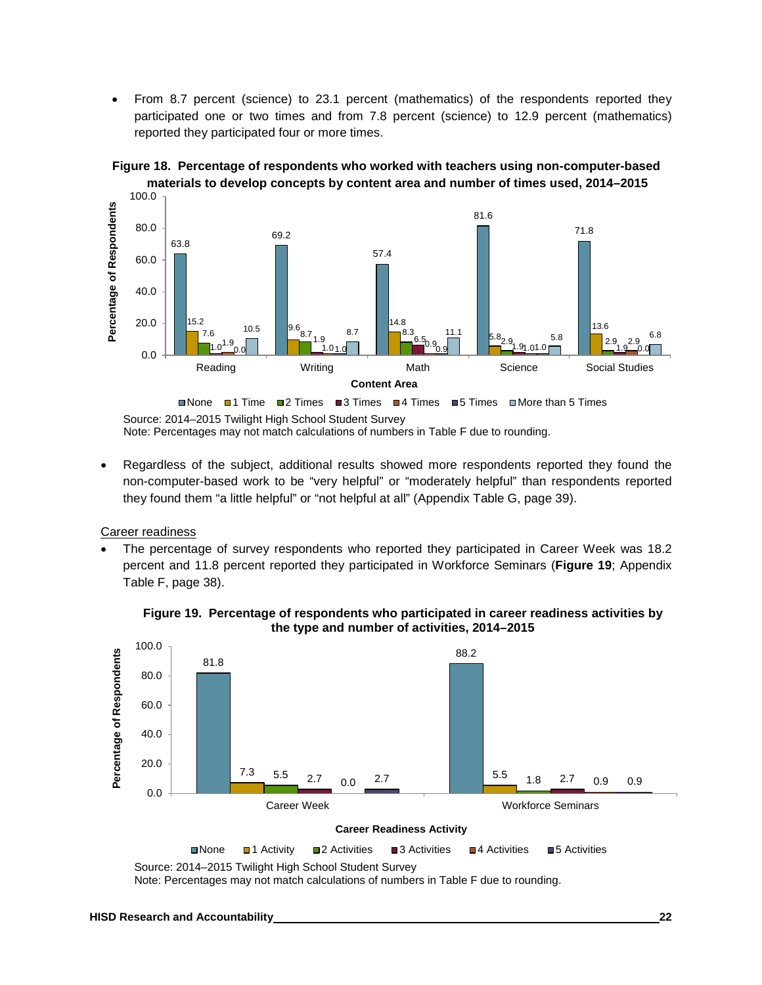• From 8.7 percent (science) to 23.1 percent (mathematics) of the respondents reported they participated one or two times and from 7.8 percent (science) to 12.9 percent (mathematics) reported they participated four or more times.



#### **Figure 18. Percentage of respondents who worked with teachers using non-computer-based materials to develop concepts by content area and number of times used, 2014–2015**

Source: 2014–2015 Twilight High School Student Survey Note: Percentages may not match calculations of numbers in Table F due to rounding.

• Regardless of the subject, additional results showed more respondents reported they found the non-computer-based work to be "very helpful" or "moderately helpful" than respondents reported they found them "a little helpful" or "not helpful at all" (Appendix Table G, page 39).

Career readiness

• The percentage of survey respondents who reported they participated in Career Week was 18.2 percent and 11.8 percent reported they participated in Workforce Seminars (**Figure 19**; Appendix Table F, page 38).

![](_page_25_Figure_7.jpeg)

**Figure 19. Percentage of respondents who participated in career readiness activities by the type and number of activities, 2014–2015**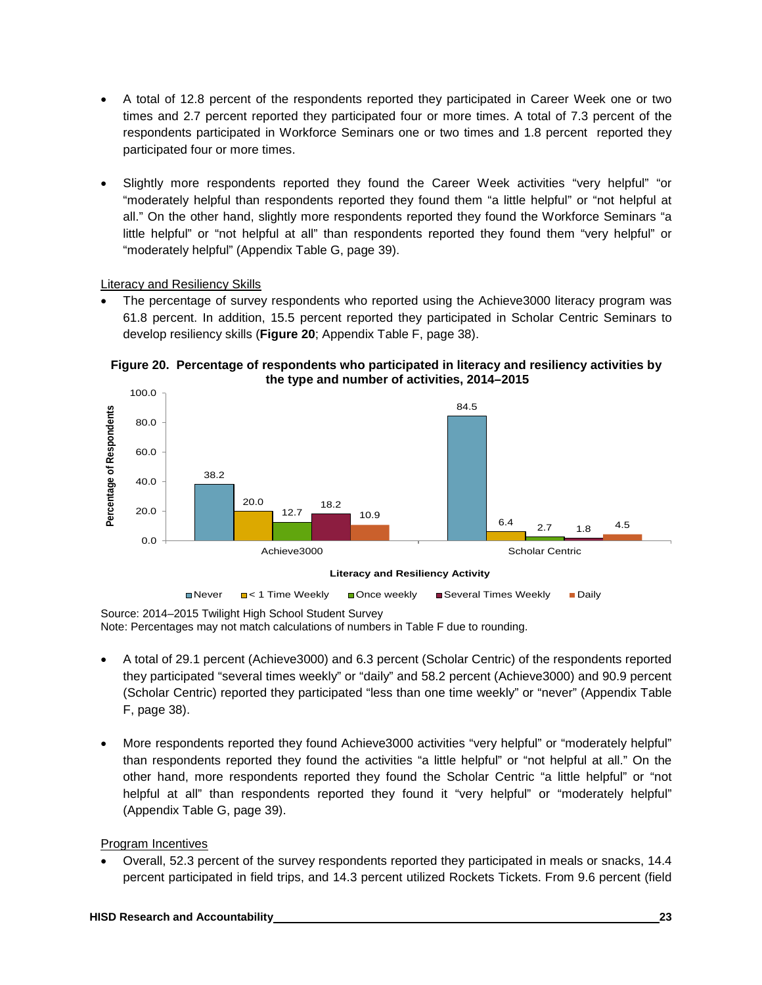- A total of 12.8 percent of the respondents reported they participated in Career Week one or two times and 2.7 percent reported they participated four or more times. A total of 7.3 percent of the respondents participated in Workforce Seminars one or two times and 1.8 percent reported they participated four or more times.
- Slightly more respondents reported they found the Career Week activities "very helpful" "or "moderately helpful than respondents reported they found them "a little helpful" or "not helpful at all." On the other hand, slightly more respondents reported they found the Workforce Seminars "a little helpful" or "not helpful at all" than respondents reported they found them "very helpful" or "moderately helpful" (Appendix Table G, page 39).

Literacy and Resiliency Skills

The percentage of survey respondents who reported using the Achieve3000 literacy program was 61.8 percent. In addition, 15.5 percent reported they participated in Scholar Centric Seminars to develop resiliency skills (**Figure 20**; Appendix Table F, page 38).

**Figure 20. Percentage of respondents who participated in literacy and resiliency activities by the type and number of activities, 2014–2015**

![](_page_26_Figure_5.jpeg)

Source: 2014–2015 Twilight High School Student Survey Note: Percentages may not match calculations of numbers in Table F due to rounding.

- A total of 29.1 percent (Achieve3000) and 6.3 percent (Scholar Centric) of the respondents reported they participated "several times weekly" or "daily" and 58.2 percent (Achieve3000) and 90.9 percent (Scholar Centric) reported they participated "less than one time weekly" or "never" (Appendix Table F, page 38).
- More respondents reported they found Achieve3000 activities "very helpful" or "moderately helpful" than respondents reported they found the activities "a little helpful" or "not helpful at all." On the other hand, more respondents reported they found the Scholar Centric "a little helpful" or "not helpful at all" than respondents reported they found it "very helpful" or "moderately helpful" (Appendix Table G, page 39).

#### Program Incentives

• Overall, 52.3 percent of the survey respondents reported they participated in meals or snacks, 14.4 percent participated in field trips, and 14.3 percent utilized Rockets Tickets. From 9.6 percent (field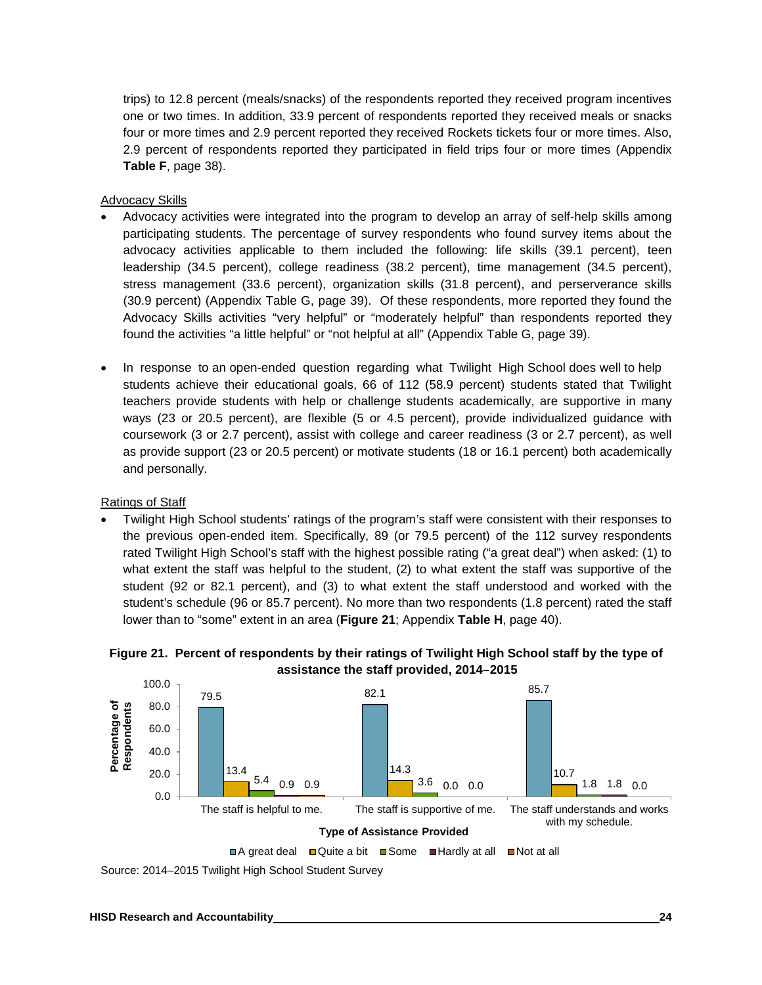trips) to 12.8 percent (meals/snacks) of the respondents reported they received program incentives one or two times. In addition, 33.9 percent of respondents reported they received meals or snacks four or more times and 2.9 percent reported they received Rockets tickets four or more times. Also, 2.9 percent of respondents reported they participated in field trips four or more times (Appendix **Table F**, page 38).

#### Advocacy Skills

- Advocacy activities were integrated into the program to develop an array of self-help skills among participating students. The percentage of survey respondents who found survey items about the advocacy activities applicable to them included the following: life skills (39.1 percent), teen leadership (34.5 percent), college readiness (38.2 percent), time management (34.5 percent), stress management (33.6 percent), organization skills (31.8 percent), and perserverance skills (30.9 percent) (Appendix Table G, page 39). Of these respondents, more reported they found the Advocacy Skills activities "very helpful" or "moderately helpful" than respondents reported they found the activities "a little helpful" or "not helpful at all" (Appendix Table G, page 39).
- In response to an open-ended question regarding what Twilight High School does well to help students achieve their educational goals, 66 of 112 (58.9 percent) students stated that Twilight teachers provide students with help or challenge students academically, are supportive in many ways (23 or 20.5 percent), are flexible (5 or 4.5 percent), provide individualized guidance with coursework (3 or 2.7 percent), assist with college and career readiness (3 or 2.7 percent), as well as provide support (23 or 20.5 percent) or motivate students (18 or 16.1 percent) both academically and personally.

#### Ratings of Staff

• Twilight High School students' ratings of the program's staff were consistent with their responses to the previous open-ended item. Specifically, 89 (or 79.5 percent) of the 112 survey respondents rated Twilight High School's staff with the highest possible rating ("a great deal") when asked: (1) to what extent the staff was helpful to the student, (2) to what extent the staff was supportive of the student (92 or 82.1 percent), and (3) to what extent the staff understood and worked with the student's schedule (96 or 85.7 percent). No more than two respondents (1.8 percent) rated the staff lower than to "some" extent in an area (**Figure 21**; Appendix **Table H**, page 40).

![](_page_27_Figure_6.jpeg)

![](_page_27_Figure_7.jpeg)

Source: 2014–2015 Twilight High School Student Survey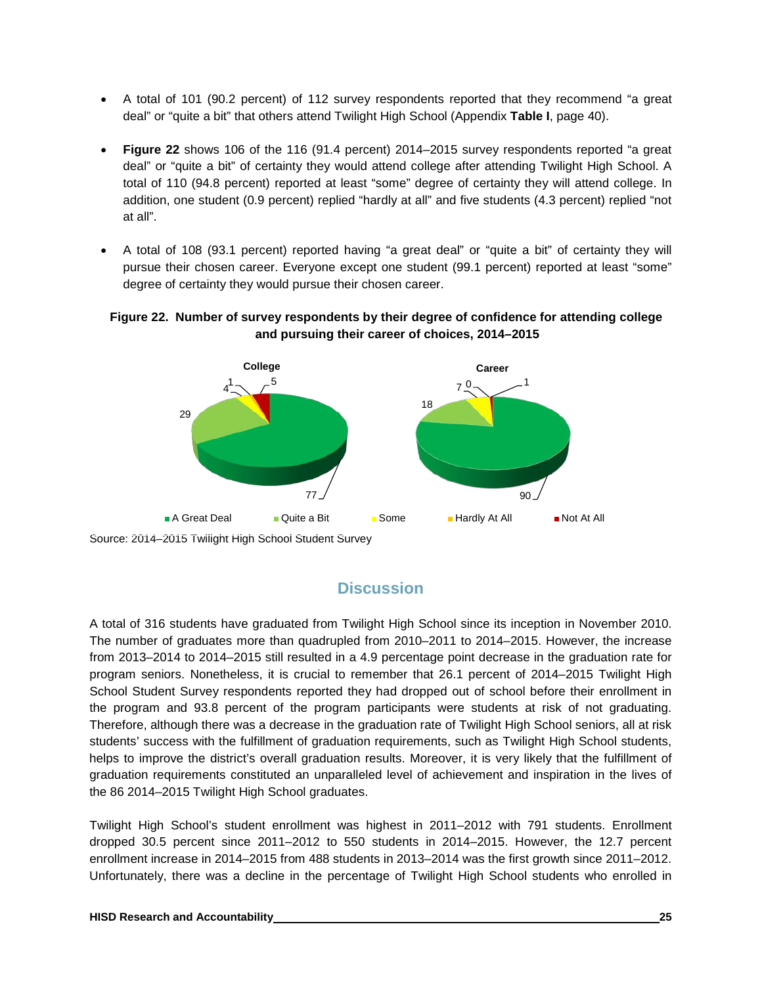- A total of 101 (90.2 percent) of 112 survey respondents reported that they recommend "a great deal" or "quite a bit" that others attend Twilight High School (Appendix **Table I**, page 40).
- **Figure 22** shows 106 of the 116 (91.4 percent) 2014–2015 survey respondents reported "a great deal" or "quite a bit" of certainty they would attend college after attending Twilight High School. A total of 110 (94.8 percent) reported at least "some" degree of certainty they will attend college. In addition, one student (0.9 percent) replied "hardly at all" and five students (4.3 percent) replied "not at all".
- A total of 108 (93.1 percent) reported having "a great deal" or "quite a bit" of certainty they will pursue their chosen career. Everyone except one student (99.1 percent) reported at least "some" degree of certainty they would pursue their chosen career.

#### **Figure 22. Number of survey respondents by their degree of confidence for attending college and pursuing their career of choices, 2014–2015**

![](_page_28_Figure_4.jpeg)

Source: 2014–2015 Twilight High School Student Survey

# **Discussion**

A total of 316 students have graduated from Twilight High School since its inception in November 2010. The number of graduates more than quadrupled from 2010–2011 to 2014–2015. However, the increase from 2013–2014 to 2014–2015 still resulted in a 4.9 percentage point decrease in the graduation rate for program seniors. Nonetheless, it is crucial to remember that 26.1 percent of 2014–2015 Twilight High School Student Survey respondents reported they had dropped out of school before their enrollment in the program and 93.8 percent of the program participants were students at risk of not graduating. Therefore, although there was a decrease in the graduation rate of Twilight High School seniors, all at risk students' success with the fulfillment of graduation requirements, such as Twilight High School students, helps to improve the district's overall graduation results. Moreover, it is very likely that the fulfillment of graduation requirements constituted an unparalleled level of achievement and inspiration in the lives of the 86 2014–2015 Twilight High School graduates.

Twilight High School's student enrollment was highest in 2011–2012 with 791 students. Enrollment dropped 30.5 percent since 2011–2012 to 550 students in 2014–2015. However, the 12.7 percent enrollment increase in 2014–2015 from 488 students in 2013–2014 was the first growth since 2011–2012. Unfortunately, there was a decline in the percentage of Twilight High School students who enrolled in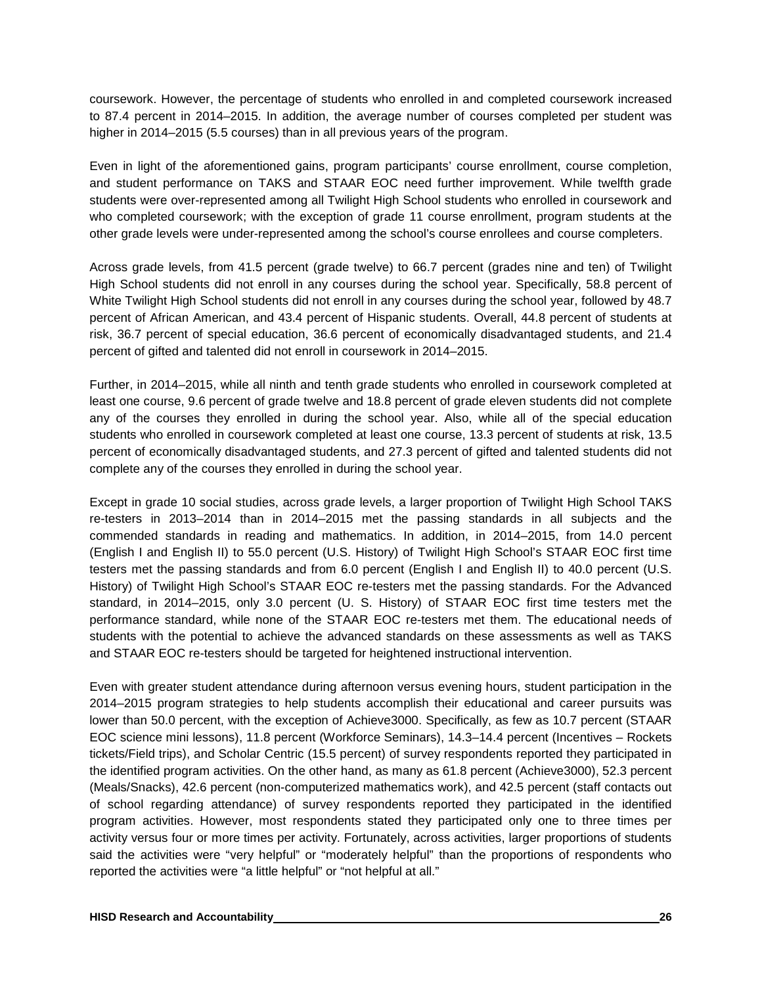coursework. However, the percentage of students who enrolled in and completed coursework increased to 87.4 percent in 2014–2015. In addition, the average number of courses completed per student was higher in 2014–2015 (5.5 courses) than in all previous years of the program.

Even in light of the aforementioned gains, program participants' course enrollment, course completion, and student performance on TAKS and STAAR EOC need further improvement. While twelfth grade students were over-represented among all Twilight High School students who enrolled in coursework and who completed coursework; with the exception of grade 11 course enrollment, program students at the other grade levels were under-represented among the school's course enrollees and course completers.

Across grade levels, from 41.5 percent (grade twelve) to 66.7 percent (grades nine and ten) of Twilight High School students did not enroll in any courses during the school year. Specifically, 58.8 percent of White Twilight High School students did not enroll in any courses during the school year, followed by 48.7 percent of African American, and 43.4 percent of Hispanic students. Overall, 44.8 percent of students at risk, 36.7 percent of special education, 36.6 percent of economically disadvantaged students, and 21.4 percent of gifted and talented did not enroll in coursework in 2014–2015.

Further, in 2014–2015, while all ninth and tenth grade students who enrolled in coursework completed at least one course, 9.6 percent of grade twelve and 18.8 percent of grade eleven students did not complete any of the courses they enrolled in during the school year. Also, while all of the special education students who enrolled in coursework completed at least one course, 13.3 percent of students at risk, 13.5 percent of economically disadvantaged students, and 27.3 percent of gifted and talented students did not complete any of the courses they enrolled in during the school year.

Except in grade 10 social studies, across grade levels, a larger proportion of Twilight High School TAKS re-testers in 2013–2014 than in 2014–2015 met the passing standards in all subjects and the commended standards in reading and mathematics. In addition, in 2014–2015, from 14.0 percent (English I and English II) to 55.0 percent (U.S. History) of Twilight High School's STAAR EOC first time testers met the passing standards and from 6.0 percent (English I and English II) to 40.0 percent (U.S. History) of Twilight High School's STAAR EOC re-testers met the passing standards. For the Advanced standard, in 2014–2015, only 3.0 percent (U. S. History) of STAAR EOC first time testers met the performance standard, while none of the STAAR EOC re-testers met them. The educational needs of students with the potential to achieve the advanced standards on these assessments as well as TAKS and STAAR EOC re-testers should be targeted for heightened instructional intervention.

Even with greater student attendance during afternoon versus evening hours, student participation in the 2014–2015 program strategies to help students accomplish their educational and career pursuits was lower than 50.0 percent, with the exception of Achieve3000. Specifically, as few as 10.7 percent (STAAR EOC science mini lessons), 11.8 percent (Workforce Seminars), 14.3–14.4 percent (Incentives – Rockets tickets/Field trips), and Scholar Centric (15.5 percent) of survey respondents reported they participated in the identified program activities. On the other hand, as many as 61.8 percent (Achieve3000), 52.3 percent (Meals/Snacks), 42.6 percent (non-computerized mathematics work), and 42.5 percent (staff contacts out of school regarding attendance) of survey respondents reported they participated in the identified program activities. However, most respondents stated they participated only one to three times per activity versus four or more times per activity. Fortunately, across activities, larger proportions of students said the activities were "very helpful" or "moderately helpful" than the proportions of respondents who reported the activities were "a little helpful" or "not helpful at all."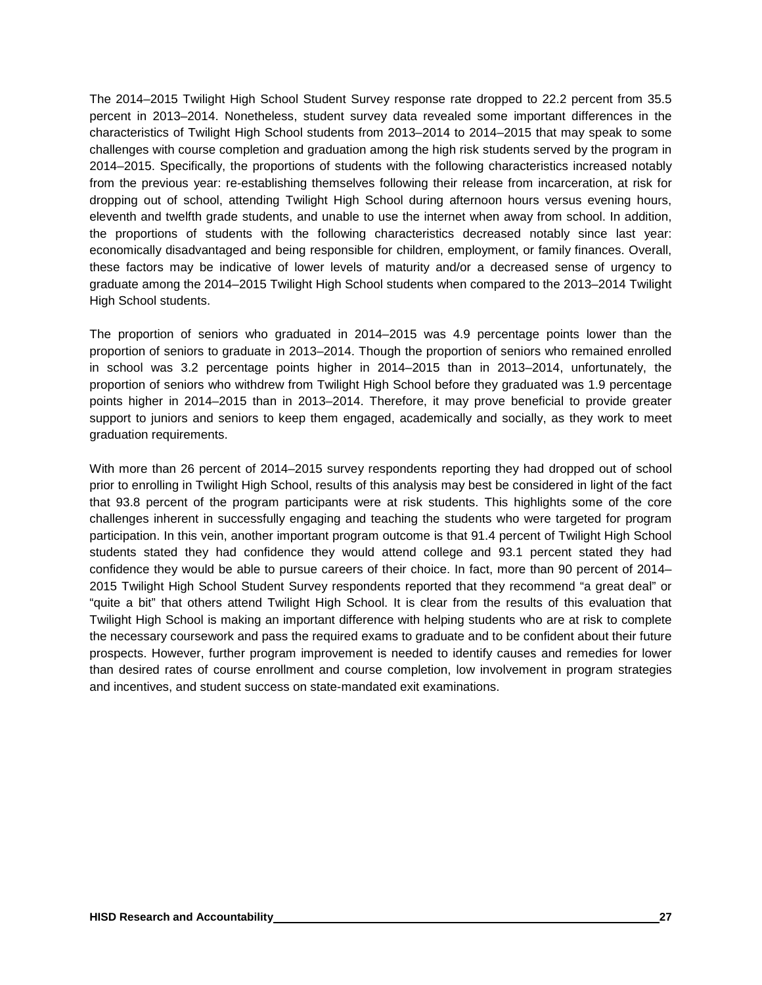The 2014–2015 Twilight High School Student Survey response rate dropped to 22.2 percent from 35.5 percent in 2013–2014. Nonetheless, student survey data revealed some important differences in the characteristics of Twilight High School students from 2013–2014 to 2014–2015 that may speak to some challenges with course completion and graduation among the high risk students served by the program in 2014–2015. Specifically, the proportions of students with the following characteristics increased notably from the previous year: re-establishing themselves following their release from incarceration, at risk for dropping out of school, attending Twilight High School during afternoon hours versus evening hours, eleventh and twelfth grade students, and unable to use the internet when away from school. In addition, the proportions of students with the following characteristics decreased notably since last year: economically disadvantaged and being responsible for children, employment, or family finances. Overall, these factors may be indicative of lower levels of maturity and/or a decreased sense of urgency to graduate among the 2014–2015 Twilight High School students when compared to the 2013–2014 Twilight High School students.

The proportion of seniors who graduated in 2014–2015 was 4.9 percentage points lower than the proportion of seniors to graduate in 2013–2014. Though the proportion of seniors who remained enrolled in school was 3.2 percentage points higher in 2014–2015 than in 2013–2014, unfortunately, the proportion of seniors who withdrew from Twilight High School before they graduated was 1.9 percentage points higher in 2014–2015 than in 2013–2014. Therefore, it may prove beneficial to provide greater support to juniors and seniors to keep them engaged, academically and socially, as they work to meet graduation requirements.

With more than 26 percent of 2014–2015 survey respondents reporting they had dropped out of school prior to enrolling in Twilight High School, results of this analysis may best be considered in light of the fact that 93.8 percent of the program participants were at risk students. This highlights some of the core challenges inherent in successfully engaging and teaching the students who were targeted for program participation. In this vein, another important program outcome is that 91.4 percent of Twilight High School students stated they had confidence they would attend college and 93.1 percent stated they had confidence they would be able to pursue careers of their choice. In fact, more than 90 percent of 2014– 2015 Twilight High School Student Survey respondents reported that they recommend "a great deal" or "quite a bit" that others attend Twilight High School. It is clear from the results of this evaluation that Twilight High School is making an important difference with helping students who are at risk to complete the necessary coursework and pass the required exams to graduate and to be confident about their future prospects. However, further program improvement is needed to identify causes and remedies for lower than desired rates of course enrollment and course completion, low involvement in program strategies and incentives, and student success on state-mandated exit examinations.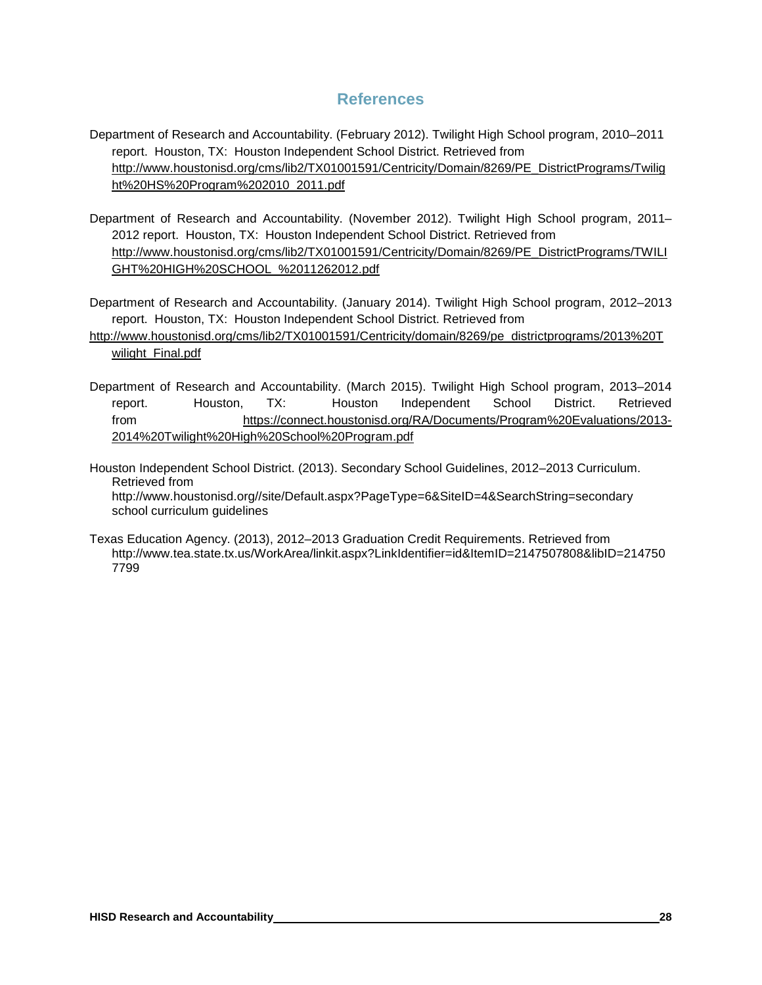## **References**

- Department of Research and Accountability. (February 2012). Twilight High School program, 2010–2011 report. Houston, TX: Houston Independent School District. Retrieved from [http://www.houstonisd.org/cms/lib2/TX01001591/Centricity/Domain/8269/PE\\_DistrictPrograms/Twilig](http://www.houstonisd.org/cms/lib2/TX01001591/Centricity/Domain/8269/PE_DistrictPrograms/Twilight%20HS%20Program%202010_2011.pdf) [ht%20HS%20Program%202010\\_2011.pdf](http://www.houstonisd.org/cms/lib2/TX01001591/Centricity/Domain/8269/PE_DistrictPrograms/Twilight%20HS%20Program%202010_2011.pdf)
- Department of Research and Accountability. (November 2012). Twilight High School program, 2011– 2012 report. Houston, TX: Houston Independent School District. Retrieved from [http://www.houstonisd.org/cms/lib2/TX01001591/Centricity/Domain/8269/PE\\_DistrictPrograms/TWILI](http://www.houstonisd.org/cms/lib2/TX01001591/Centricity/Domain/8269/PE_DistrictPrograms/TWILIGHT%20HIGH%20SCHOOL_%2011262012.pdf) [GHT%20HIGH%20SCHOOL\\_%2011262012.pdf](http://www.houstonisd.org/cms/lib2/TX01001591/Centricity/Domain/8269/PE_DistrictPrograms/TWILIGHT%20HIGH%20SCHOOL_%2011262012.pdf)

Department of Research and Accountability. (January 2014). Twilight High School program, 2012–2013 report. Houston, TX: Houston Independent School District. Retrieved from

[http://www.houstonisd.org/cms/lib2/TX01001591/Centricity/domain/8269/pe\\_districtprograms/2013%20T](http://www.houstonisd.org/cms/lib2/TX01001591/Centricity/domain/8269/pe_districtprograms/2013%20Twilight_Final.pdf) [wilight\\_Final.pdf](http://www.houstonisd.org/cms/lib2/TX01001591/Centricity/domain/8269/pe_districtprograms/2013%20Twilight_Final.pdf)

Department of Research and Accountability. (March 2015). Twilight High School program, 2013–2014 report. Houston, TX: Houston Independent School District. Retrieved from https://connect.houstonisd.org/RA/Documents/Program%20Evaluations/2013- 2014%20Twilight%20High%20School%20Program.pdf

Houston Independent School District. (2013). Secondary School Guidelines, 2012–2013 Curriculum. Retrieved from http://www.houstonisd.org//site/Default.aspx?PageType=6&SiteID=4&SearchString=secondary school curriculum guidelines

Texas Education Agency. (2013), 2012–2013 Graduation Credit Requirements. Retrieved from http://www.tea.state.tx.us/WorkArea/linkit.aspx?LinkIdentifier=id&ItemID=2147507808&libID=214750 7799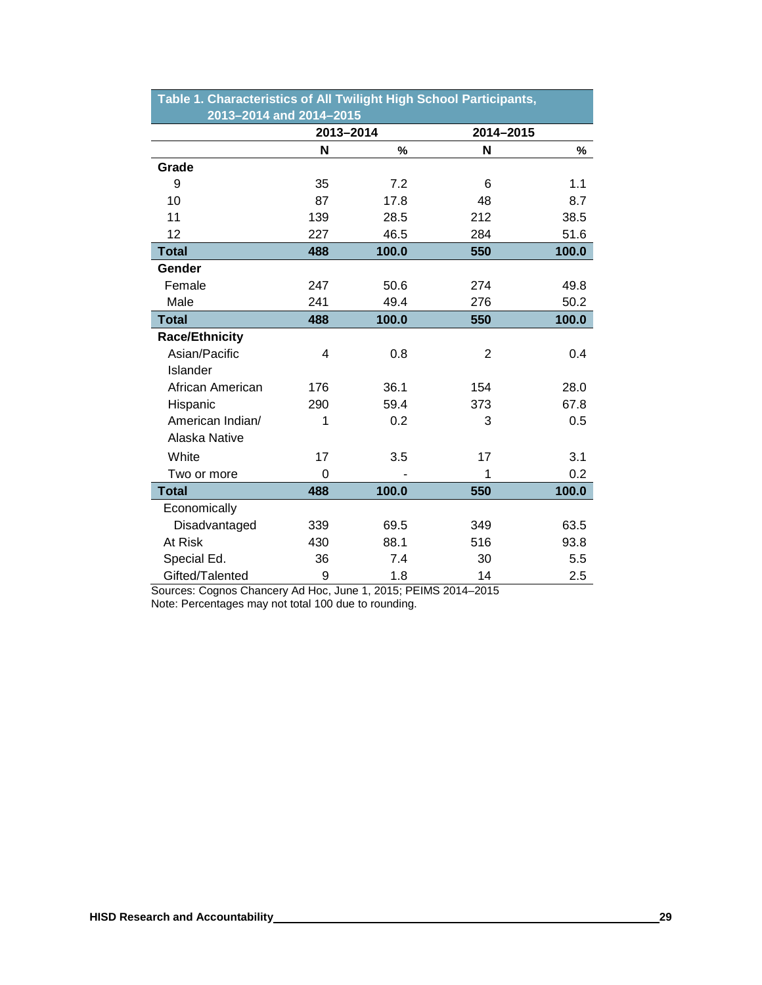| Table 1. Characteristics of All Twilight High School Participants, |           |       |                |       |  |  |  |  |  |
|--------------------------------------------------------------------|-----------|-------|----------------|-------|--|--|--|--|--|
| 2013-2014 and 2014-2015                                            |           |       |                |       |  |  |  |  |  |
|                                                                    | 2013-2014 |       | 2014-2015      |       |  |  |  |  |  |
|                                                                    | N         | $\%$  | N              | %     |  |  |  |  |  |
| Grade                                                              |           |       |                |       |  |  |  |  |  |
| 9                                                                  | 35        | 7.2   | 6              | 1.1   |  |  |  |  |  |
| 10                                                                 | 87        | 17.8  | 48             | 8.7   |  |  |  |  |  |
| 11                                                                 | 139       | 28.5  | 212            | 38.5  |  |  |  |  |  |
| 12                                                                 | 227       | 46.5  | 284            | 51.6  |  |  |  |  |  |
| <b>Total</b>                                                       | 488       | 100.0 | 550            | 100.0 |  |  |  |  |  |
| Gender                                                             |           |       |                |       |  |  |  |  |  |
| Female                                                             | 247       | 50.6  | 274            | 49.8  |  |  |  |  |  |
| Male                                                               | 241       | 49.4  | 276            | 50.2  |  |  |  |  |  |
| <b>Total</b>                                                       | 488       | 100.0 | 550            | 100.0 |  |  |  |  |  |
| <b>Race/Ethnicity</b>                                              |           |       |                |       |  |  |  |  |  |
| Asian/Pacific                                                      | 4         | 0.8   | $\overline{2}$ | 0.4   |  |  |  |  |  |
| Islander                                                           |           |       |                |       |  |  |  |  |  |
| African American                                                   | 176       | 36.1  | 154            | 28.0  |  |  |  |  |  |
| Hispanic                                                           | 290       | 59.4  | 373            | 67.8  |  |  |  |  |  |
| American Indian/                                                   | 1         | 0.2   | 3              | 0.5   |  |  |  |  |  |
| Alaska Native                                                      |           |       |                |       |  |  |  |  |  |
| White                                                              | 17        | 3.5   | 17             | 3.1   |  |  |  |  |  |
| Two or more                                                        | $\Omega$  |       | 1              | 0.2   |  |  |  |  |  |
| <b>Total</b>                                                       | 488       | 100.0 | 550            | 100.0 |  |  |  |  |  |
| Economically                                                       |           |       |                |       |  |  |  |  |  |
| Disadvantaged                                                      | 339       | 69.5  | 349            | 63.5  |  |  |  |  |  |
| At Risk                                                            | 430       | 88.1  | 516            | 93.8  |  |  |  |  |  |
| Special Ed.                                                        | 36        | 7.4   | 30             | 5.5   |  |  |  |  |  |
| Gifted/Talented                                                    | 9         | 1.8   | 14             | 2.5   |  |  |  |  |  |

Sources: Cognos Chancery Ad Hoc, June 1, 2015; PEIMS 2014–2015 Note: Percentages may not total 100 due to rounding.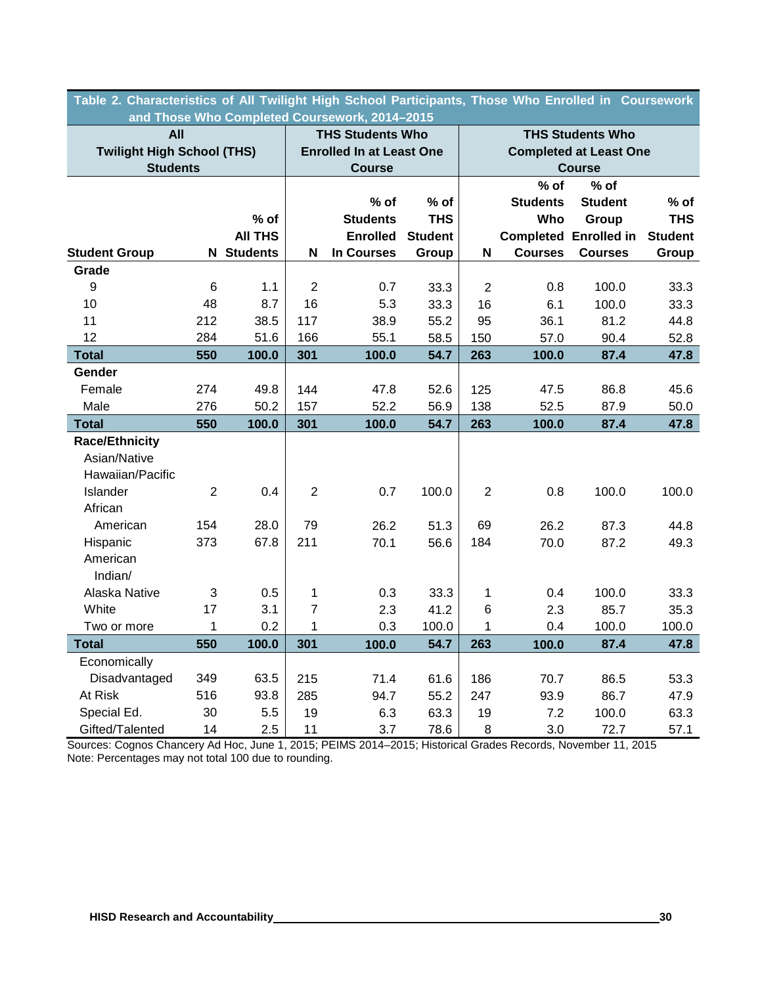| Table 2. Characteristics of All Twilight High School Participants, Those Who Enrolled in  Coursework<br>and Those Who Completed Coursework, 2014-2015 |                  |                       |                |                                 |                             |                         |                               |                              |                |  |
|-------------------------------------------------------------------------------------------------------------------------------------------------------|------------------|-----------------------|----------------|---------------------------------|-----------------------------|-------------------------|-------------------------------|------------------------------|----------------|--|
| <b>All</b>                                                                                                                                            |                  |                       |                | <b>THS Students Who</b>         |                             |                         |                               | <b>THS Students Who</b>      |                |  |
| <b>Twilight High School (THS)</b>                                                                                                                     |                  |                       |                | <b>Enrolled In at Least One</b> |                             |                         | <b>Completed at Least One</b> |                              |                |  |
| <b>Students</b>                                                                                                                                       |                  |                       |                | <b>Course</b>                   |                             |                         |                               | <b>Course</b>                |                |  |
|                                                                                                                                                       |                  |                       |                |                                 |                             |                         | $%$ of                        | % of                         |                |  |
|                                                                                                                                                       |                  |                       |                | $%$ of                          | % of                        |                         | <b>Students</b>               | <b>Student</b>               | $%$ of         |  |
|                                                                                                                                                       |                  | $%$ of                |                | <b>Students</b>                 | <b>THS</b>                  |                         | Who                           | Group                        | <b>THS</b>     |  |
|                                                                                                                                                       |                  | <b>All THS</b>        |                | <b>Enrolled</b>                 | <b>Student</b>              |                         |                               | <b>Completed Enrolled in</b> | <b>Student</b> |  |
| <b>Student Group</b>                                                                                                                                  |                  | <b>N</b> Students     | N              | <b>In Courses</b>               | Group                       | N                       | <b>Courses</b>                | <b>Courses</b>               | Group          |  |
| Grade                                                                                                                                                 |                  |                       |                |                                 |                             |                         |                               |                              |                |  |
| $\boldsymbol{9}$                                                                                                                                      | $6\phantom{1}6$  | 1.1                   | $\overline{2}$ | 0.7                             | 33.3                        | $\overline{2}$          | 0.8                           | 100.0                        | 33.3           |  |
| 10                                                                                                                                                    | 48               | 8.7                   | 16             | 5.3                             | 33.3                        | 16                      | 6.1                           | 100.0                        | 33.3           |  |
| 11                                                                                                                                                    | 212              | 38.5                  | 117            | 38.9                            | 55.2                        | 95                      | 36.1                          | 81.2                         | 44.8           |  |
| 12                                                                                                                                                    | 284              | 51.6                  | 166            | 55.1                            | 58.5                        | 150                     | 57.0                          | 90.4                         | 52.8           |  |
| <b>Total</b>                                                                                                                                          | 550              | 100.0                 | 301            | 100.0                           | 54.7                        | 263                     | 100.0                         | 87.4                         | 47.8           |  |
| Gender                                                                                                                                                |                  |                       |                |                                 |                             |                         |                               |                              |                |  |
| Female                                                                                                                                                | 274              | 49.8                  | 144            | 47.8                            | 52.6                        | 125                     | 47.5                          | 86.8                         | 45.6           |  |
| Male                                                                                                                                                  | 276              | 50.2                  | 157            | 52.2                            | 56.9                        | 138                     | 52.5                          | 87.9                         | 50.0           |  |
| <b>Total</b>                                                                                                                                          | 550              | 100.0                 | 301            | 100.0                           | 54.7                        | 263                     | 100.0                         | 87.4                         | 47.8           |  |
| <b>Race/Ethnicity</b>                                                                                                                                 |                  |                       |                |                                 |                             |                         |                               |                              |                |  |
| Asian/Native                                                                                                                                          |                  |                       |                |                                 |                             |                         |                               |                              |                |  |
| Hawaiian/Pacific                                                                                                                                      |                  |                       |                |                                 |                             |                         |                               |                              |                |  |
| Islander                                                                                                                                              | $\overline{2}$   | 0.4                   | $\overline{2}$ | 0.7                             | 100.0                       | $\overline{2}$          | 0.8                           | 100.0                        | 100.0          |  |
| African                                                                                                                                               |                  |                       |                |                                 |                             |                         |                               |                              |                |  |
| American                                                                                                                                              | 154              | 28.0                  | 79             | 26.2                            | 51.3                        | 69                      | 26.2                          | 87.3                         | 44.8           |  |
| Hispanic                                                                                                                                              | 373              | 67.8                  | 211            | 70.1                            | 56.6                        | 184                     | 70.0                          | 87.2                         | 49.3           |  |
| American                                                                                                                                              |                  |                       |                |                                 |                             |                         |                               |                              |                |  |
| Indian/                                                                                                                                               |                  |                       |                |                                 |                             |                         |                               |                              |                |  |
| Alaska Native                                                                                                                                         | 3                | 0.5                   | 1              | 0.3                             | 33.3                        | 1                       | 0.4                           | 100.0                        | 33.3           |  |
| White                                                                                                                                                 | 17               | 3.1                   | $\overline{7}$ | 2.3                             | 41.2                        | $\,6$                   | 2.3                           | 85.7                         | 35.3           |  |
| Two or more                                                                                                                                           | $\mathbf{1}$     | 0.2                   | 1              | 0.3                             | 100.0                       | 1                       | 0.4                           | 100.0                        | 100.0          |  |
| <b>Total</b>                                                                                                                                          | 550              | 100.0                 | 301            | 100.0                           | 54.7                        | 263                     | 100.0                         | 87.4                         | 47.8           |  |
| Economically                                                                                                                                          |                  |                       |                |                                 |                             |                         |                               |                              |                |  |
| Disadvantaged                                                                                                                                         | 349              | 63.5                  | 215            | 71.4                            | 61.6                        | 186                     | 70.7                          | 86.5                         | 53.3           |  |
| At Risk                                                                                                                                               | 516              | 93.8                  | 285            | 94.7                            | 55.2                        | 247                     | 93.9                          | 86.7                         | 47.9           |  |
| Special Ed.                                                                                                                                           | 30               | 5.5                   | 19             | 6.3                             | 63.3                        | 19                      | 7.2                           | 100.0                        | 63.3           |  |
| Gifted/Talented<br>Courseau Cognes Ch                                                                                                                 | 14<br>اباله ۸ سم | 2.5<br>$\overline{A}$ | 11<br>0.4E     | 3.7<br>0011                     | 78.6<br>$004E$ , Historical | 8<br>$C$ <sub>rad</sub> | 3.0<br>مامعہ                  | 72.7<br>44<br>               | 57.1<br>004E   |  |

Sources: Cognos Chancery Ad Hoc, June 1, 2015; PEIMS 2014–2015; Historical Grades Records, November 11, 2015 Note: Percentages may not total 100 due to rounding.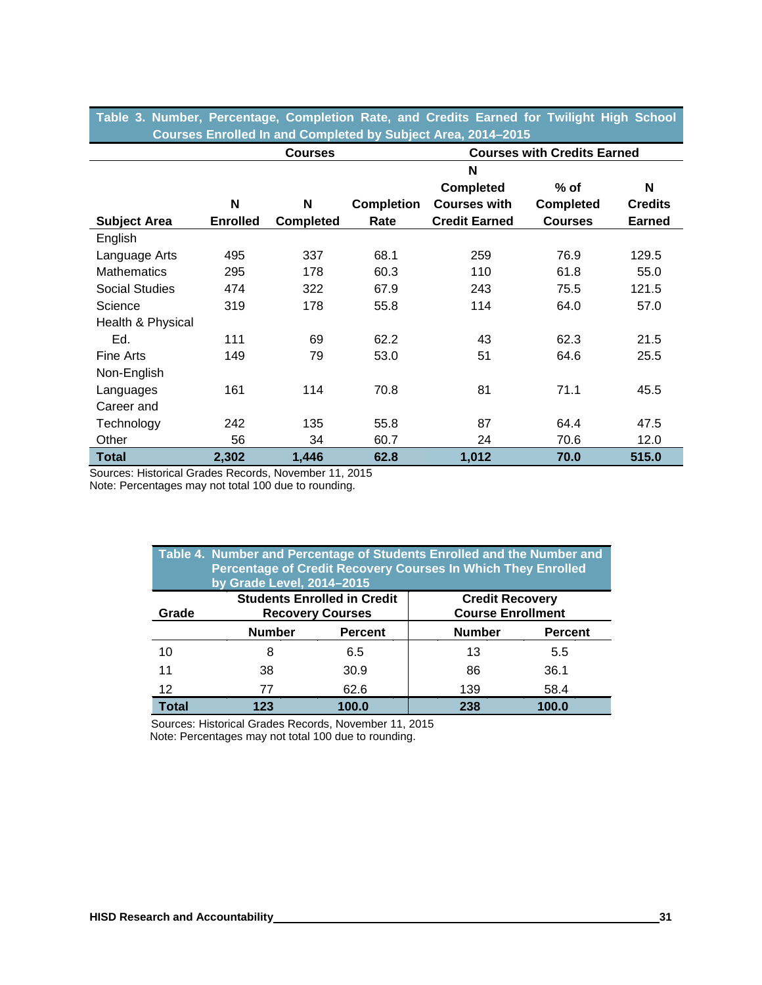|  | Table 3. Number, Percentage, Completion Rate, and Credits Earned for Twilight High School |  |  |  |  |  |
|--|-------------------------------------------------------------------------------------------|--|--|--|--|--|
|  | Courses Enrolled In and Completed by Subject Area, 2014–2015                              |  |  |  |  |  |

|                     |                 | <b>Courses</b>   |                   | <b>Courses with Credits Earned</b> |                  |                |  |
|---------------------|-----------------|------------------|-------------------|------------------------------------|------------------|----------------|--|
|                     |                 |                  |                   | N                                  |                  |                |  |
|                     |                 |                  |                   | <b>Completed</b>                   | $%$ of           | N              |  |
|                     | N               | N                | <b>Completion</b> | <b>Courses with</b>                | <b>Completed</b> | <b>Credits</b> |  |
| <b>Subject Area</b> | <b>Enrolled</b> | <b>Completed</b> | Rate              | <b>Credit Earned</b>               | <b>Courses</b>   | <b>Earned</b>  |  |
| English             |                 |                  |                   |                                    |                  |                |  |
| Language Arts       | 495             | 337              | 68.1              | 259                                | 76.9             | 129.5          |  |
| <b>Mathematics</b>  | 295             | 178              | 60.3              | 110                                | 61.8             | 55.0           |  |
| Social Studies      | 474             | 322              | 67.9              | 243                                | 75.5             | 121.5          |  |
| Science             | 319             | 178              | 55.8              | 114                                | 64.0             | 57.0           |  |
| Health & Physical   |                 |                  |                   |                                    |                  |                |  |
| Ed.                 | 111             | 69               | 62.2              | 43                                 | 62.3             | 21.5           |  |
| Fine Arts           | 149             | 79               | 53.0              | 51                                 | 64.6             | 25.5           |  |
| Non-English         |                 |                  |                   |                                    |                  |                |  |
| Languages           | 161             | 114              | 70.8              | 81                                 | 71.1             | 45.5           |  |
| Career and          |                 |                  |                   |                                    |                  |                |  |
| Technology          | 242             | 135              | 55.8              | 87                                 | 64.4             | 47.5           |  |
| Other               | 56              | 34               | 60.7              | 24                                 | 70.6             | 12.0           |  |
| <b>Total</b>        | 2,302           | 1,446            | 62.8              | 1,012                              | 70.0             | 515.0          |  |

Sources: Historical Grades Records, November 11, 2015

Note: Percentages may not total 100 due to rounding.

| Table 4. Number and Percentage of Students Enrolled and the Number and<br><b>Percentage of Credit Recovery Courses In Which They Enrolled</b><br>by Grade Level, 2014-2015 |               |                                                               |                                                    |                |  |  |  |  |
|----------------------------------------------------------------------------------------------------------------------------------------------------------------------------|---------------|---------------------------------------------------------------|----------------------------------------------------|----------------|--|--|--|--|
| Grade                                                                                                                                                                      |               | <b>Students Enrolled in Credit</b><br><b>Recovery Courses</b> | <b>Credit Recovery</b><br><b>Course Enrollment</b> |                |  |  |  |  |
|                                                                                                                                                                            | <b>Number</b> | <b>Percent</b>                                                | <b>Number</b>                                      | <b>Percent</b> |  |  |  |  |
| 10                                                                                                                                                                         | 8             | 6.5                                                           | 13                                                 | 5.5            |  |  |  |  |
| 11                                                                                                                                                                         | 38            | 30.9                                                          | 86                                                 | 36.1           |  |  |  |  |
| 12                                                                                                                                                                         | 77            | 62.6                                                          | 139                                                | 58.4           |  |  |  |  |
| <b>Total</b>                                                                                                                                                               | 123           | 100.0                                                         | 238                                                | 100.0          |  |  |  |  |

Sources: Historical Grades Records, November 11, 2015 Note: Percentages may not total 100 due to rounding.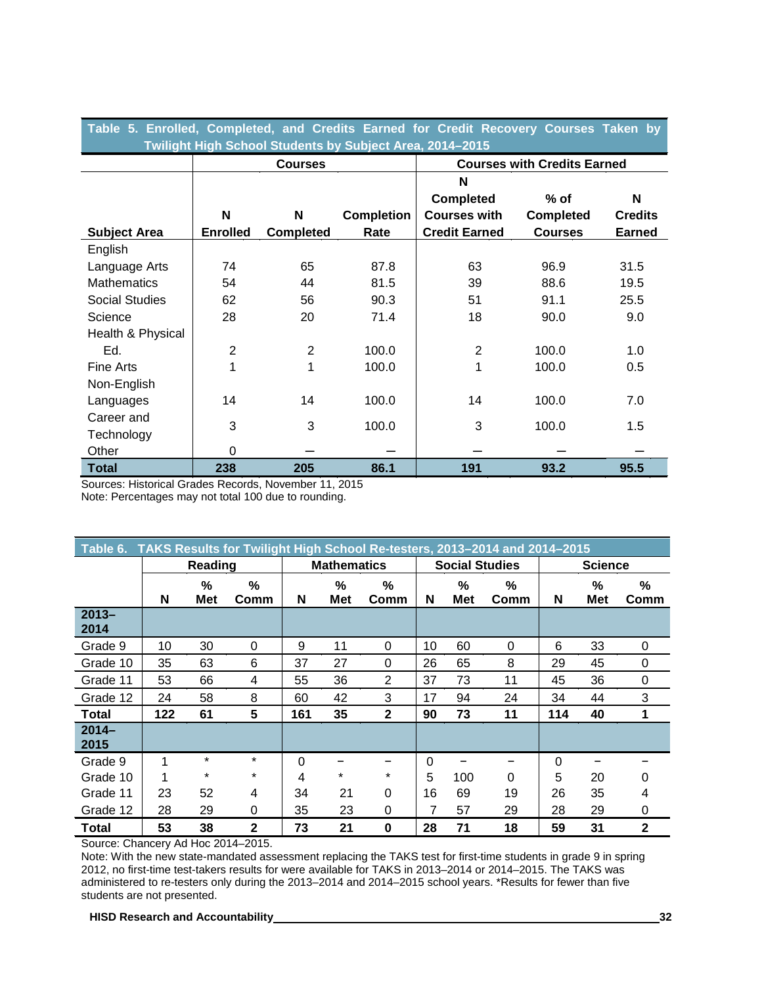| Table 5. Enrolled, Completed, and Credits Earned for Credit Recovery Courses Taken by<br>Twilight High School Students by Subject Area, 2014-2015 |                 |                  |                   |                                    |                  |                |  |  |  |
|---------------------------------------------------------------------------------------------------------------------------------------------------|-----------------|------------------|-------------------|------------------------------------|------------------|----------------|--|--|--|
|                                                                                                                                                   |                 | <b>Courses</b>   |                   | <b>Courses with Credits Earned</b> |                  |                |  |  |  |
|                                                                                                                                                   |                 |                  |                   | N                                  |                  |                |  |  |  |
|                                                                                                                                                   |                 |                  |                   | <b>Completed</b>                   | $%$ of           | N              |  |  |  |
|                                                                                                                                                   | N               | N                | <b>Completion</b> | <b>Courses with</b>                | <b>Completed</b> | <b>Credits</b> |  |  |  |
| <b>Subject Area</b>                                                                                                                               | <b>Enrolled</b> | <b>Completed</b> | Rate              | <b>Credit Earned</b>               | <b>Courses</b>   | <b>Earned</b>  |  |  |  |
| English                                                                                                                                           |                 |                  |                   |                                    |                  |                |  |  |  |
| Language Arts                                                                                                                                     | 74              | 65               | 87.8              | 63                                 | 96.9             | 31.5           |  |  |  |
| <b>Mathematics</b>                                                                                                                                | 54              | 44               | 81.5              | 39                                 | 88.6             | 19.5           |  |  |  |
| Social Studies                                                                                                                                    | 62              | 56               | 90.3              | 51                                 | 91.1             | 25.5           |  |  |  |
| Science                                                                                                                                           | 28              | 20               | 71.4              | 18                                 | 90.0             | 9.0            |  |  |  |
| Health & Physical                                                                                                                                 |                 |                  |                   |                                    |                  |                |  |  |  |
| Ed.                                                                                                                                               | $\overline{2}$  | $\overline{2}$   | 100.0             | $\overline{2}$                     | 100.0            | 1.0            |  |  |  |
| <b>Fine Arts</b>                                                                                                                                  | 1               | 1                | 100.0             | 1                                  | 100.0            | 0.5            |  |  |  |
| Non-English                                                                                                                                       |                 |                  |                   |                                    |                  |                |  |  |  |
| Languages                                                                                                                                         | 14              | 14               | 100.0             | 14                                 | 100.0            | 7.0            |  |  |  |
| Career and                                                                                                                                        | 3               | 3                |                   | 3                                  |                  |                |  |  |  |
| Technology                                                                                                                                        |                 |                  | 100.0             |                                    | 100.0            | 1.5            |  |  |  |
| Other                                                                                                                                             | $\Omega$        |                  |                   |                                    |                  |                |  |  |  |
| <b>Total</b>                                                                                                                                      | 238             | 205              | 86.1              | 191                                | 93.2             | 95.5           |  |  |  |

Sources: Historical Grades Records, November 11, 2015

Note: Percentages may not total 100 due to rounding.

| TAKS Results for Twilight High School Re-testers, 2013-2014 and 2014-2015<br>Table 6. |     |                 |              |     |                    |              |                |                       |           |     |                 |              |
|---------------------------------------------------------------------------------------|-----|-----------------|--------------|-----|--------------------|--------------|----------------|-----------------------|-----------|-----|-----------------|--------------|
|                                                                                       |     | Reading         |              |     | <b>Mathematics</b> |              |                | <b>Social Studies</b> |           |     | <b>Science</b>  |              |
|                                                                                       | N   | %<br><b>Met</b> | $\%$<br>Comm | N   | %<br>Met           | %<br>Comm    | N              | $\%$<br>Met           | %<br>Comm | N   | %<br><b>Met</b> | $\%$<br>Comm |
| $2013 -$<br>2014                                                                      |     |                 |              |     |                    |              |                |                       |           |     |                 |              |
| Grade 9                                                                               | 10  | 30              | 0            | 9   | 11                 | $\Omega$     | 10             | 60                    | 0         | 6   | 33              | 0            |
| Grade 10                                                                              | 35  | 63              | 6            | 37  | 27                 | 0            | 26             | 65                    | 8         | 29  | 45              | 0            |
| Grade 11                                                                              | 53  | 66              | 4            | 55  | 36                 | 2            | 37             | 73                    | 11        | 45  | 36              | 0            |
| Grade 12                                                                              | 24  | 58              | 8            | 60  | 42                 | 3            | 17             | 94                    | 24        | 34  | 44              | 3            |
| <b>Total</b>                                                                          | 122 | 61              | 5            | 161 | 35                 | $\mathbf{2}$ | 90             | 73                    | 11        | 114 | 40              | 1            |
| $2014-$<br>2015                                                                       |     |                 |              |     |                    |              |                |                       |           |     |                 |              |
| Grade 9                                                                               |     | $\star$         | $\star$      | 0   |                    |              | $\Omega$       |                       |           | 0   |                 |              |
| Grade 10                                                                              |     | $\star$         | $\star$      | 4   | $\star$            | $\star$      | 5              | 100                   | $\Omega$  | 5   | 20              | 0            |
| Grade 11                                                                              | 23  | 52              | 4            | 34  | 21                 | $\Omega$     | 16             | 69                    | 19        | 26  | 35              | 4            |
| Grade 12                                                                              | 28  | 29              | 0            | 35  | 23                 | $\Omega$     | $\overline{7}$ | 57                    | 29        | 28  | 29              | 0            |
| Total                                                                                 | 53  | 38              | $\mathbf{2}$ | 73  | 21                 | 0            | 28             | 71                    | 18        | 59  | 31              | 2            |

Source: Chancery Ad Hoc 2014–2015.

Note: With the new state-mandated assessment replacing the TAKS test for first-time students in grade 9 in spring 2012, no first-time test-takers results for were available for TAKS in 2013–2014 or 2014–2015. The TAKS was administered to re-testers only during the 2013–2014 and 2014–2015 school years. \*Results for fewer than five students are not presented.

**HISD Research and Accountability 32**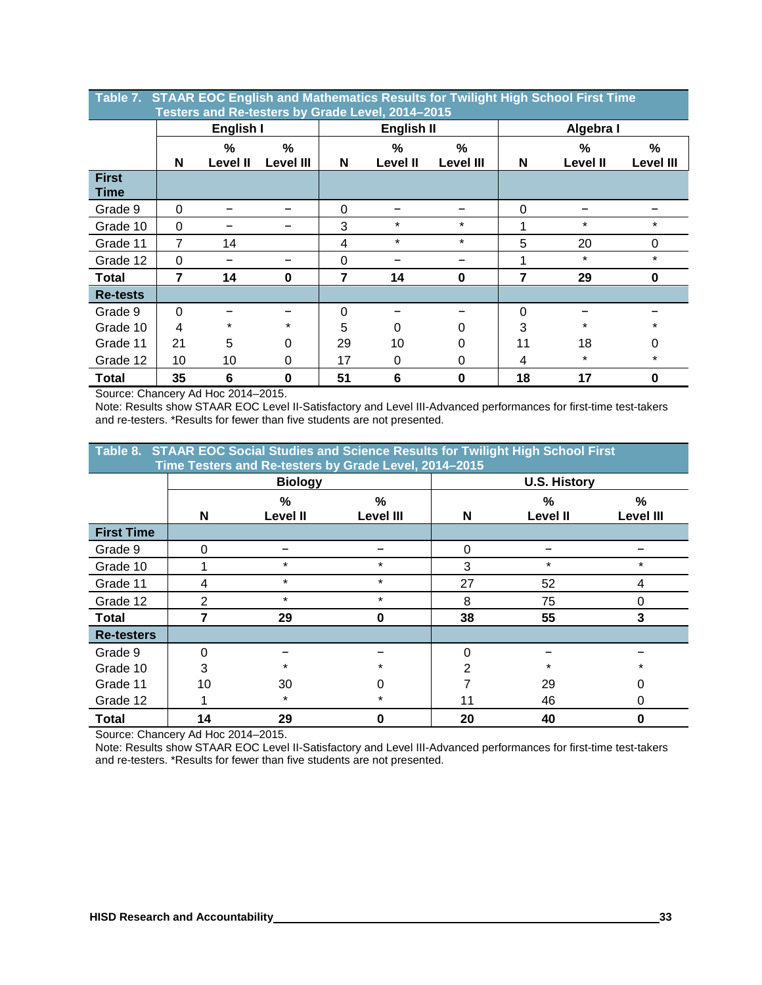|                             | Table 7. STAAR EOC English and Mathematics Results for Twilight High School First Time<br>Testers and Re-testers by Grade Level, 2014-2015 |                         |                       |          |                      |                   |          |                           |                                   |  |
|-----------------------------|--------------------------------------------------------------------------------------------------------------------------------------------|-------------------------|-----------------------|----------|----------------------|-------------------|----------|---------------------------|-----------------------------------|--|
|                             |                                                                                                                                            | English I               |                       |          | English II           |                   |          | Algebra I                 |                                   |  |
|                             | N                                                                                                                                          | $\%$<br><b>Level II</b> | %<br><b>Level III</b> | N        | %<br><b>Level II</b> | $\%$<br>Level III | N        | $\frac{0}{0}$<br>Level II | $\frac{9}{6}$<br><b>Level III</b> |  |
| <b>First</b><br><b>Time</b> |                                                                                                                                            |                         |                       |          |                      |                   |          |                           |                                   |  |
| Grade 9                     | $\Omega$                                                                                                                                   |                         |                       | $\Omega$ |                      |                   | $\Omega$ |                           |                                   |  |
| Grade 10                    | 0                                                                                                                                          |                         |                       | 3        | $\star$              | $\star$           | 1        | $\star$                   | $\star$                           |  |
| Grade 11                    | 7                                                                                                                                          | 14                      |                       | 4        | $\star$              | $\star$           | 5        | 20                        | 0                                 |  |
| Grade 12                    | 0                                                                                                                                          |                         |                       | $\Omega$ |                      |                   | 1        | $\star$                   | $\star$                           |  |
| <b>Total</b>                | 7                                                                                                                                          | 14                      | $\bf{0}$              | 7        | 14                   | $\mathbf 0$       | 7        | 29                        | $\bf{0}$                          |  |
| <b>Re-tests</b>             |                                                                                                                                            |                         |                       |          |                      |                   |          |                           |                                   |  |
| Grade 9                     | $\Omega$                                                                                                                                   |                         |                       | $\Omega$ |                      |                   | 0        |                           |                                   |  |
| Grade 10                    | 4                                                                                                                                          | $\star$                 | $\star$               | 5        | 0                    | 0                 | 3        | $\star$                   | $\star$                           |  |
| Grade 11                    | 21                                                                                                                                         | 5                       | 0                     | 29       | 10                   | 0                 | 11       | 18                        | 0                                 |  |
| Grade 12                    | 10                                                                                                                                         | 10                      | 0                     | 17       | 0                    | 0                 | 4        | $\ast$                    | $\star$                           |  |
| Total                       | 35                                                                                                                                         | 6                       | $\bf{0}$              | 51       | $6\phantom{1}6$      | 0                 | 18       | 17                        | 0                                 |  |

**Table 7. STAAR EOC English and Mathematics Results for Twilight High School First Time** 

Source: Chancery Ad Hoc 2014–2015.

Note: Results show STAAR EOC Level II-Satisfactory and Level III-Advanced performances for first-time test-takers and re-testers. \*Results for fewer than five students are not presented.

| Table 8. STAAR EOC Social Studies and Science Results for Twilight High School First<br>Time Testers and Re-testers by Grade Level, 2014-2015 |          |                 |           |                |                     |                  |  |  |  |
|-----------------------------------------------------------------------------------------------------------------------------------------------|----------|-----------------|-----------|----------------|---------------------|------------------|--|--|--|
|                                                                                                                                               |          | <b>Biology</b>  |           |                | <b>U.S. History</b> |                  |  |  |  |
|                                                                                                                                               |          | %               | ℅         |                | %                   | %                |  |  |  |
|                                                                                                                                               | N        | <b>Level II</b> | Level III | N              | Level II            | <b>Level III</b> |  |  |  |
| <b>First Time</b>                                                                                                                             |          |                 |           |                |                     |                  |  |  |  |
| Grade 9                                                                                                                                       | 0        |                 |           | 0              |                     |                  |  |  |  |
| Grade 10                                                                                                                                      | 1        | $\star$         | $\star$   | 3              | $\star$             | $\star$          |  |  |  |
| Grade 11                                                                                                                                      | 4        | $\star$         | $\star$   | 27             | 52                  | 4                |  |  |  |
| Grade 12                                                                                                                                      | 2        | $\star$         | $\star$   | 8              | 75                  | 0                |  |  |  |
| Total                                                                                                                                         | 7        | 29              | 0         | 38             | 55                  | 3                |  |  |  |
| <b>Re-testers</b>                                                                                                                             |          |                 |           |                |                     |                  |  |  |  |
| Grade 9                                                                                                                                       | $\Omega$ |                 |           | 0              |                     |                  |  |  |  |
| Grade 10                                                                                                                                      | 3        | $\star$         | $\star$   | $\overline{2}$ | *                   |                  |  |  |  |
| Grade 11                                                                                                                                      | 10       | 30              | 0         |                | 29                  | 0                |  |  |  |
| Grade 12                                                                                                                                      | 1        | $\ast$          | $\star$   | 11             | 46                  | 0                |  |  |  |
| Total                                                                                                                                         | 14       | 29              | 0         | 20             | 40                  | $\bf{0}$         |  |  |  |

Source: Chancery Ad Hoc 2014–2015.

Note: Results show STAAR EOC Level II-Satisfactory and Level III-Advanced performances for first-time test-takers and re-testers. \*Results for fewer than five students are not presented.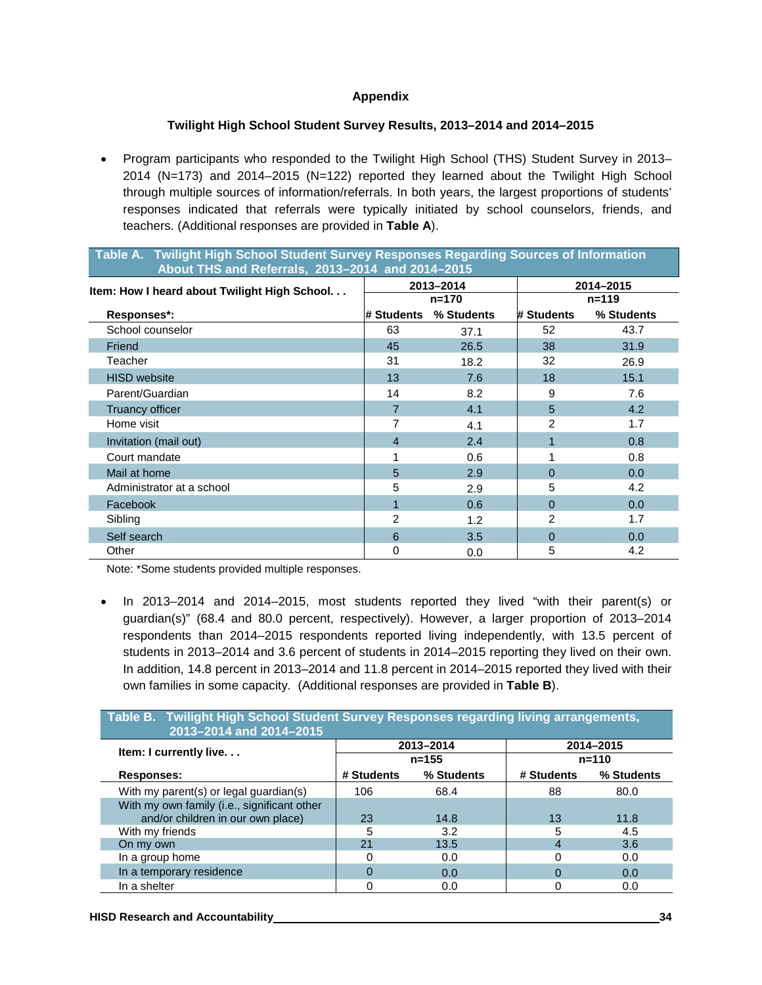#### **Appendix**

#### **Twilight High School Student Survey Results, 2013–2014 and 2014–2015**

• Program participants who responded to the Twilight High School (THS) Student Survey in 2013– 2014 (N=173) and 2014–2015 (N=122) reported they learned about the Twilight High School through multiple sources of information/referrals. In both years, the largest proportions of students' responses indicated that referrals were typically initiated by school counselors, friends, and teachers. (Additional responses are provided in **Table A**).

**Table A. Twilight High School Student Survey Responses Regarding Sources of Information** 

| Table A. The indicated below other outlets are responses regarding optimes of implification<br>About THS and Referrals, 2013-2014 and 2014-2015 |                |            |                |                  |  |  |  |  |
|-------------------------------------------------------------------------------------------------------------------------------------------------|----------------|------------|----------------|------------------|--|--|--|--|
| Item: How I heard about Twilight High School                                                                                                    |                | 2013-2014  |                | 2014-2015        |  |  |  |  |
|                                                                                                                                                 |                | $n = 170$  | $n = 119$      |                  |  |  |  |  |
| Responses*:                                                                                                                                     | # Students     | % Students | # Students     | % Students       |  |  |  |  |
| School counselor                                                                                                                                | 63             | 37.1       | 52             | 43.7             |  |  |  |  |
| Friend                                                                                                                                          | 45             | 26.5       | 38             | 31.9             |  |  |  |  |
| Teacher                                                                                                                                         | 31             | 18.2       | 32             | 26.9             |  |  |  |  |
| <b>HISD</b> website                                                                                                                             | 13             | 7.6        | 18             | 15.1             |  |  |  |  |
| Parent/Guardian                                                                                                                                 | 14             | 8.2        | 9              | 7.6              |  |  |  |  |
| <b>Truancy officer</b>                                                                                                                          | 7              | 4.1        | 5              | 4.2              |  |  |  |  |
| Home visit                                                                                                                                      |                | 4.1        | 2              | 1.7              |  |  |  |  |
| Invitation (mail out)                                                                                                                           | $\overline{4}$ | 2.4        | 1              | 0.8              |  |  |  |  |
| Court mandate                                                                                                                                   |                | 0.6        | 1              | 0.8              |  |  |  |  |
| Mail at home                                                                                                                                    | 5              | 2.9        | $\Omega$       | 0.0 <sub>1</sub> |  |  |  |  |
| Administrator at a school                                                                                                                       | 5              | 2.9        | 5              | 4.2              |  |  |  |  |
| Facebook                                                                                                                                        |                | 0.6        | $\Omega$       | 0.0 <sub>1</sub> |  |  |  |  |
| Sibling                                                                                                                                         | $\overline{2}$ | 1.2        | $\overline{2}$ | 1.7              |  |  |  |  |
| Self search                                                                                                                                     | 6              | 3.5        | $\Omega$       | 0.0              |  |  |  |  |
| Other                                                                                                                                           | 0              | 0.0        | 5              | 4.2              |  |  |  |  |

Note: \*Some students provided multiple responses.

• In 2013–2014 and 2014–2015, most students reported they lived "with their parent(s) or guardian(s)" (68.4 and 80.0 percent, respectively). However, a larger proportion of 2013–2014 respondents than 2014–2015 respondents reported living independently, with 13.5 percent of students in 2013–2014 and 3.6 percent of students in 2014–2015 reporting they lived on their own. In addition, 14.8 percent in 2013–2014 and 11.8 percent in 2014–2015 reported they lived with their own families in some capacity. (Additional responses are provided in **Table B**).

| Table B. Twilight High School Student Survey Responses regarding living arrangements,<br>2013-2014 and 2014-2015 |            |            |            |            |  |  |  |  |  |
|------------------------------------------------------------------------------------------------------------------|------------|------------|------------|------------|--|--|--|--|--|
| Item: I currently live.                                                                                          |            | 2013-2014  |            | 2014-2015  |  |  |  |  |  |
|                                                                                                                  |            | $n = 155$  |            | $n = 110$  |  |  |  |  |  |
| <b>Responses:</b>                                                                                                | # Students | % Students | # Students | % Students |  |  |  |  |  |
| With my parent(s) or legal guardian(s)                                                                           | 106        | 68.4       | 88         | 80.0       |  |  |  |  |  |
| With my own family (i.e., significant other                                                                      |            |            |            |            |  |  |  |  |  |
| and/or children in our own place)                                                                                | 23         | 14.8       | 13         | 11.8       |  |  |  |  |  |
| With my friends                                                                                                  | 5          | 3.2        | 5          | 4.5        |  |  |  |  |  |
| On my own                                                                                                        | 21         | 13.5       | 4          | 3.6        |  |  |  |  |  |
| In a group home                                                                                                  | Ω          | 0.0        | 0          | 0.0        |  |  |  |  |  |
| In a temporary residence                                                                                         | 0          | 0.0        | 0          | 0.0        |  |  |  |  |  |
| In a shelter                                                                                                     |            | 0.0        | 0          | 0.0        |  |  |  |  |  |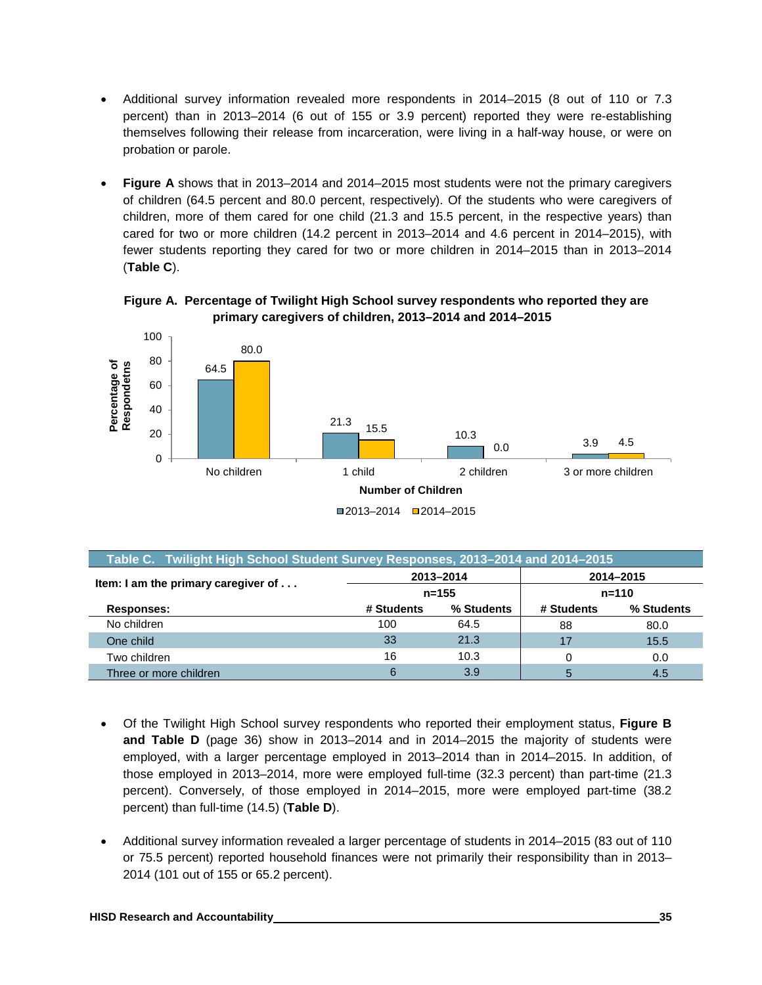- Additional survey information revealed more respondents in 2014–2015 (8 out of 110 or 7.3 percent) than in 2013–2014 (6 out of 155 or 3.9 percent) reported they were re-establishing themselves following their release from incarceration, were living in a half-way house, or were on probation or parole.
- **Figure A** shows that in 2013–2014 and 2014–2015 most students were not the primary caregivers of children (64.5 percent and 80.0 percent, respectively). Of the students who were caregivers of children, more of them cared for one child (21.3 and 15.5 percent, in the respective years) than cared for two or more children (14.2 percent in 2013–2014 and 4.6 percent in 2014–2015), with fewer students reporting they cared for two or more children in 2014–2015 than in 2013–2014 (**Table C**).

![](_page_38_Figure_2.jpeg)

![](_page_38_Figure_3.jpeg)

| Table C. Twilight High School Student Survey Responses, 2013-2014 and 2014-2015 |            |            |            |            |  |  |  |  |  |  |
|---------------------------------------------------------------------------------|------------|------------|------------|------------|--|--|--|--|--|--|
| Item: I am the primary caregiver of                                             |            | 2013-2014  | 2014-2015  |            |  |  |  |  |  |  |
|                                                                                 |            | $n = 155$  | $n = 110$  |            |  |  |  |  |  |  |
| <b>Responses:</b>                                                               | # Students | % Students | # Students | % Students |  |  |  |  |  |  |
| No children                                                                     | 100        | 64.5       | 88         | 80.0       |  |  |  |  |  |  |
| One child                                                                       | 33         | 21.3       | 17         | 15.5       |  |  |  |  |  |  |
| Two children                                                                    | 16         | 10.3       | 0          | 0.0        |  |  |  |  |  |  |
| Three or more children                                                          | 6          | 3.9        | 5          | 4.5        |  |  |  |  |  |  |

- Of the Twilight High School survey respondents who reported their employment status, **Figure B and Table D** (page 36) show in 2013–2014 and in 2014–2015 the majority of students were employed, with a larger percentage employed in 2013–2014 than in 2014–2015. In addition, of those employed in 2013–2014, more were employed full-time (32.3 percent) than part-time (21.3 percent). Conversely, of those employed in 2014–2015, more were employed part-time (38.2 percent) than full-time (14.5) (**Table D**).
- Additional survey information revealed a larger percentage of students in 2014–2015 (83 out of 110 or 75.5 percent) reported household finances were not primarily their responsibility than in 2013– 2014 (101 out of 155 or 65.2 percent).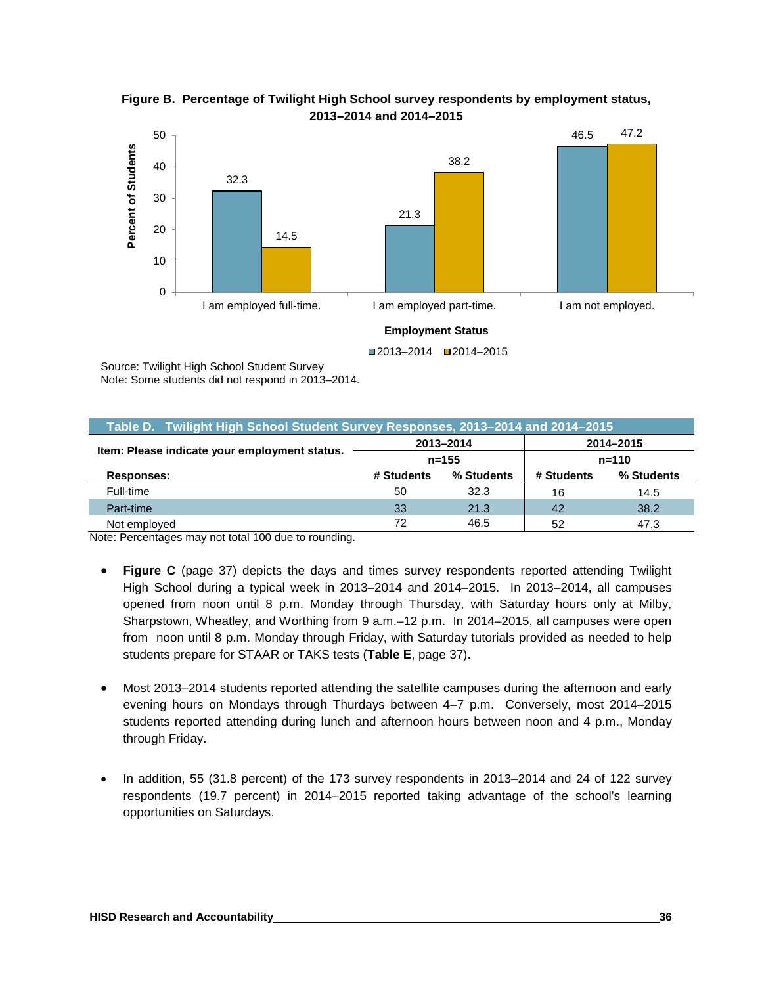![](_page_39_Figure_0.jpeg)

**Figure B. Percentage of Twilight High School survey respondents by employment status, 2013–2014 and 2014–2015**

Source: Twilight High School Student Survey Note: Some students did not respond in 2013–2014.

| Table D. Twilight High School Student Survey Responses, 2013-2014 and 2014-2015 |            |            |            |            |  |  |  |  |  |
|---------------------------------------------------------------------------------|------------|------------|------------|------------|--|--|--|--|--|
| Item: Please indicate your employment status.                                   |            | 2013-2014  | 2014-2015  |            |  |  |  |  |  |
|                                                                                 |            | $n = 155$  | $n = 110$  |            |  |  |  |  |  |
| Responses:                                                                      | # Students | % Students | # Students | % Students |  |  |  |  |  |
| Full-time                                                                       | 50         | 32.3       | 16         | 14.5       |  |  |  |  |  |
| Part-time                                                                       | 33         | 21.3       | 42         | 38.2       |  |  |  |  |  |
| Not employed                                                                    | 72         | 46.5       | 52         | 47.3       |  |  |  |  |  |

Note: Percentages may not total 100 due to rounding.

- **Figure C** (page 37) depicts the days and times survey respondents reported attending Twilight High School during a typical week in 2013–2014 and 2014–2015. In 2013–2014, all campuses opened from noon until 8 p.m. Monday through Thursday, with Saturday hours only at Milby, Sharpstown, Wheatley, and Worthing from 9 a.m.–12 p.m. In 2014–2015, all campuses were open from noon until 8 p.m. Monday through Friday, with Saturday tutorials provided as needed to help students prepare for STAAR or TAKS tests (**Table E**, page 37).
- Most 2013–2014 students reported attending the satellite campuses during the afternoon and early evening hours on Mondays through Thurdays between 4–7 p.m. Conversely, most 2014–2015 students reported attending during lunch and afternoon hours between noon and 4 p.m., Monday through Friday.
- In addition, 55 (31.8 percent) of the 173 survey respondents in 2013–2014 and 24 of 122 survey respondents (19.7 percent) in 2014–2015 reported taking advantage of the school's learning opportunities on Saturdays.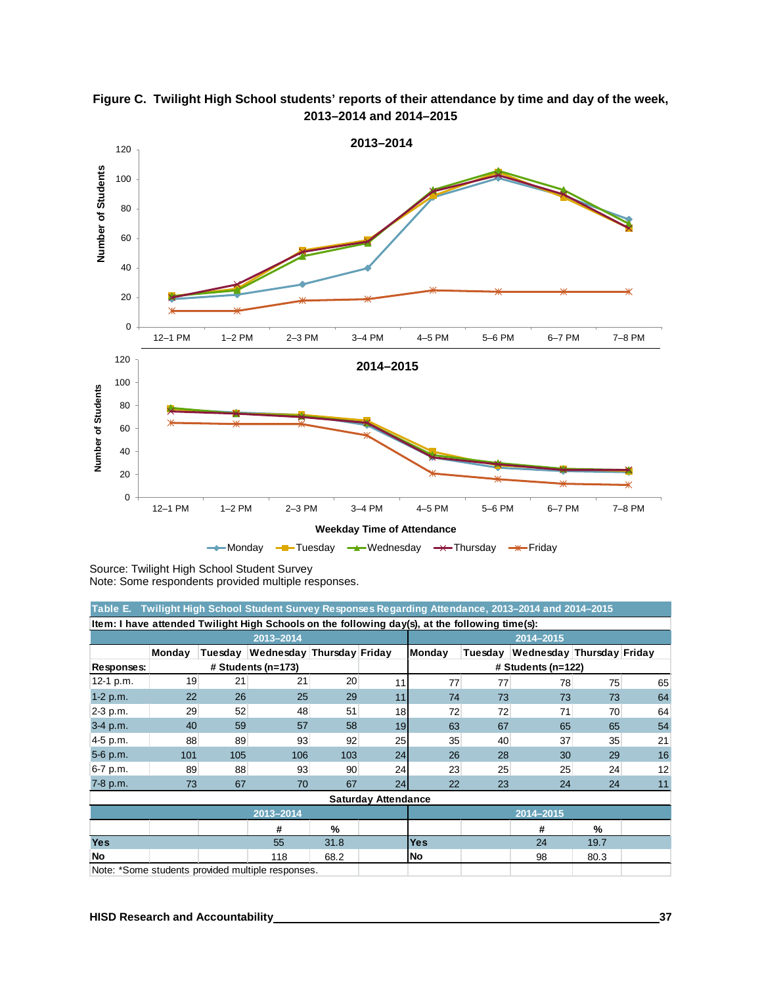![](_page_40_Figure_0.jpeg)

**Figure C. Twilight High School students' reports of their attendance by time and day of the week, 2013–2014 and 2014–2015**

Source: Twilight High School Student Survey Note: Some respondents provided multiple responses.

| Table E. Twilight High School Student Survey Responses Regarding Attendance, 2013–2014 and 2014–2015 |        |         |                                                  |           |                            |            |                      |                                   |      |    |
|------------------------------------------------------------------------------------------------------|--------|---------|--------------------------------------------------|-----------|----------------------------|------------|----------------------|-----------------------------------|------|----|
| Item: I have attended Twilight High Schools on the following day(s), at the following time(s):       |        |         |                                                  |           |                            |            |                      |                                   |      |    |
| 2013-2014                                                                                            |        |         |                                                  |           |                            | 2014-2015  |                      |                                   |      |    |
|                                                                                                      | Monday | Tuesday | Wednesday Thursday Friday                        |           |                            | Monday     |                      | Tuesday Wednesday Thursday Friday |      |    |
| # Students (n=173)<br>Responses:                                                                     |        |         |                                                  |           |                            |            | $#$ Students (n=122) |                                   |      |    |
| 12-1 p.m.                                                                                            | 19     | 21      | 21                                               | 20        | 11                         | 77         | 77                   | 78                                | 75   | 65 |
| $1-2 p.m.$                                                                                           | 22     | 26      | 25                                               | 29        | 11                         | 74         | 73                   | 73                                | 73   | 64 |
| 2-3 p.m.                                                                                             | 29     | 52      | 48                                               | 51        | 18                         | 72         | 72                   | 71                                | 70   | 64 |
| 3-4 p.m.                                                                                             | 40     | 59      | 57                                               | 58        | 19                         | 63         | 67                   | 65                                | 65   | 54 |
| 4-5 p.m.                                                                                             | 88     | 89      | 93                                               | 92        | 25                         | 35         | 40                   | 37                                | 35   | 21 |
| 5-6 p.m.                                                                                             | 101    | 105     | 106                                              | 103       | 24                         | 26         | 28                   | 30                                | 29   | 16 |
| 6-7 p.m.                                                                                             | 89     | 88      | 93                                               | 90        | 24                         | 23         | 25                   | 25                                | 24   | 12 |
| 7-8 p.m.                                                                                             | 73     | 67      | 70                                               | 67        | 24                         | 22         | 23                   | 24                                | 24   | 11 |
|                                                                                                      |        |         |                                                  |           | <b>Saturday Attendance</b> |            |                      |                                   |      |    |
| 2013-2014                                                                                            |        |         |                                                  | 2014-2015 |                            |            |                      |                                   |      |    |
|                                                                                                      |        |         | #                                                | %         |                            |            |                      | #                                 | %    |    |
| <b>Yes</b>                                                                                           |        |         | 55                                               | 31.8      |                            | <b>Yes</b> |                      | 24                                | 19.7 |    |
| No                                                                                                   |        |         | 118                                              | 68.2      |                            | No         |                      | 98                                | 80.3 |    |
|                                                                                                      |        |         | Note: *Some students provided multiple responses |           |                            |            |                      |                                   |      |    |

Note: "Some students provided multiple re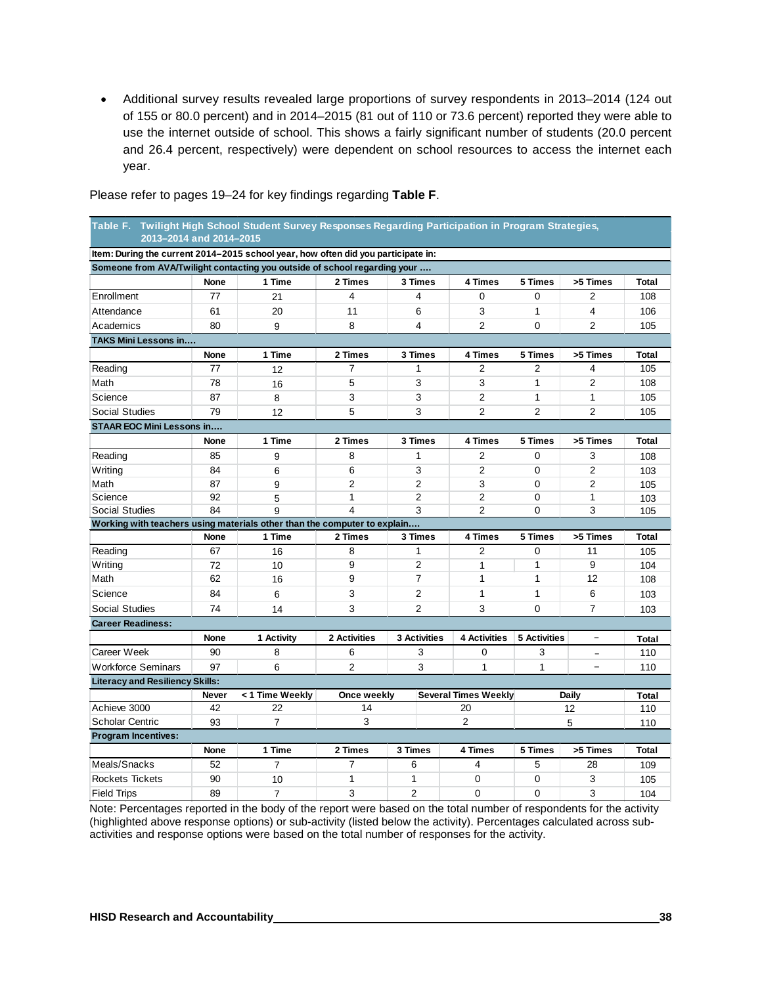• Additional survey results revealed large proportions of survey respondents in 2013–2014 (124 out of 155 or 80.0 percent) and in 2014–2015 (81 out of 110 or 73.6 percent) reported they were able to use the internet outside of school. This shows a fairly significant number of students (20.0 percent and 26.4 percent, respectively) were dependent on school resources to access the internet each year.

| Table F. Twilight High School Student Survey Responses Regarding Participation in Program Strategies,<br>2013-2014 and 2014-2015 |             |                 |                |                |                     |                             |                     |                          |              |  |
|----------------------------------------------------------------------------------------------------------------------------------|-------------|-----------------|----------------|----------------|---------------------|-----------------------------|---------------------|--------------------------|--------------|--|
| Item: During the current 2014-2015 school year, how often did you participate in:                                                |             |                 |                |                |                     |                             |                     |                          |              |  |
| Someone from AVA/Twilight contacting you outside of school regarding your                                                        |             |                 |                |                |                     |                             |                     |                          |              |  |
|                                                                                                                                  | <b>None</b> | 1 Time          | 2 Times        |                | 3 Times             | 4 Times                     | 5 Times             | >5 Times                 | <b>Total</b> |  |
| Enrollment                                                                                                                       | 77          | 21              | 4              |                | 4                   | $\Omega$                    | $\Omega$            | 2                        | 108          |  |
| Attendance                                                                                                                       | 61          | 20              | 11             |                | 6                   | 3                           | 1                   | 4                        | 106          |  |
| Academics                                                                                                                        | 80          | 9               | 8              |                | $\overline{4}$      | $\overline{2}$              | 0                   | $\overline{2}$           | 105          |  |
| <b>TAKS Mini Lessons in</b>                                                                                                      |             |                 |                |                |                     |                             |                     |                          |              |  |
|                                                                                                                                  | None        | 1 Time          | 2 Times        |                | 3 Times             | 4 Times                     | 5 Times             | >5 Times                 | <b>Total</b> |  |
| Reading                                                                                                                          | 77          | 12              | $\overline{7}$ |                | 1                   | $\overline{2}$              | 2                   | 4                        | 105          |  |
| Math                                                                                                                             | 78          | 16              | 5              |                | 3                   | 3                           | $\mathbf{1}$        | $\overline{2}$           | 108          |  |
| Science                                                                                                                          | 87          | 8               | 3              |                | 3                   | 2                           | $\mathbf{1}$        | 1                        | 105          |  |
| <b>Social Studies</b>                                                                                                            | 79          | 12              | 5              |                | 3                   | $\overline{2}$              | $\overline{2}$      | $\overline{2}$           | 105          |  |
| <b>STAAR EOC Mini Lessons in</b>                                                                                                 |             |                 |                |                |                     |                             |                     |                          |              |  |
|                                                                                                                                  | <b>None</b> | 1 Time          | 2 Times        |                | 3 Times             | 4 Times                     | 5 Times             | >5 Times                 | <b>Total</b> |  |
| Reading                                                                                                                          | 85          | 9               | 8              |                | 1                   | 2                           | 0                   | 3                        | 108          |  |
| Writing                                                                                                                          | 84          | 6               | 6              |                | 3                   | $\overline{2}$              | 0                   | $\overline{2}$           | 103          |  |
| Math                                                                                                                             | 87          | 9               | 2              |                | 2                   | 3                           | 0                   | 2                        | 105          |  |
| Science                                                                                                                          | 92          | 5               | $\mathbf{1}$   |                | 2                   | 2                           | 0                   | 1                        | 103          |  |
| <b>Social Studies</b>                                                                                                            | 84          | 9               | $\overline{4}$ |                | 3                   | $\overline{2}$              | $\Omega$            | 3                        | 105          |  |
| Working with teachers using materials other than the computer to explain                                                         |             |                 |                |                |                     |                             |                     |                          |              |  |
|                                                                                                                                  | None        | 1 Time          | 2 Times        |                | 3 Times             | 4 Times                     | 5 Times             | >5 Times                 | <b>Total</b> |  |
| Reading                                                                                                                          | 67          | 16              | 8              |                | $\mathbf{1}$        | 2                           | $\Omega$            | 11                       | 105          |  |
| Writing                                                                                                                          | 72          | 10              | 9              |                | $\overline{2}$      | 1                           | $\mathbf{1}$        | 9                        | 104          |  |
| Math                                                                                                                             | 62          | 16              | 9              |                | $\overline{7}$      | 1                           | $\mathbf{1}$        | 12                       | 108          |  |
| Science                                                                                                                          | 84          | 6               | 3              |                | $\overline{2}$      | 1                           | $\mathbf{1}$        | 6                        | 103          |  |
| <b>Social Studies</b>                                                                                                            | 74          | 14              | 3              |                | 2                   | 3                           | $\Omega$            | $\overline{7}$           | 103          |  |
| <b>Career Readiness:</b>                                                                                                         |             |                 |                |                |                     |                             |                     |                          |              |  |
|                                                                                                                                  | <b>None</b> | 1 Activity      | 2 Activities   |                | <b>3 Activities</b> | <b>4 Activities</b>         | <b>5 Activities</b> | $\overline{\phantom{a}}$ | <b>Total</b> |  |
| Career Week                                                                                                                      | 90          | 8               | 6              |                | 3                   | $\Omega$                    | 3                   | $\equiv$                 | 110          |  |
| <b>Workforce Seminars</b>                                                                                                        | 97          | 6               | 2              |                | 3                   | $\mathbf{1}$                | 1                   | $\overline{\phantom{0}}$ | 110          |  |
| <b>Literacy and Resiliency Skills:</b>                                                                                           |             |                 |                |                |                     |                             |                     |                          |              |  |
|                                                                                                                                  | Never       | < 1 Time Weekly | Once weekly    |                |                     | <b>Several Times Weekly</b> |                     | Daily                    | <b>Total</b> |  |
| Achieve 3000                                                                                                                     | 42          | 22              | 14             |                | 20                  |                             | 12                  | 110                      |              |  |
| <b>Scholar Centric</b>                                                                                                           | 93          | $\overline{7}$  | 3              |                |                     | $\overline{2}$              |                     | 5                        | 110          |  |
| <b>Program Incentives:</b>                                                                                                       |             |                 |                |                |                     |                             |                     |                          |              |  |
|                                                                                                                                  | None        | 1 Time          | 2 Times        | <b>3 Times</b> |                     | 4 Times                     | 5 Times             | >5 Times                 | Total        |  |
| Meals/Snacks                                                                                                                     | 52          | 7               | $\overline{7}$ | 6              |                     | 4                           | 5                   | 28                       | 109          |  |
| Rockets Tickets                                                                                                                  | 90          | 10              | $\mathbf{1}$   | 1              |                     | 0                           | $\Omega$            | 3                        | 105          |  |
| <b>Field Trips</b>                                                                                                               | 89          | $\overline{7}$  | 3              | $\overline{2}$ |                     | 0                           | $\mathbf 0$         | 3                        | 104          |  |

Please refer to pages 19–24 for key findings regarding **Table F**.

Note: Percentages reported in the body of the report were based on the total number of respondents for the activity (highlighted above response options) or sub-activity (listed below the activity). Percentages calculated across subactivities and response options were based on the total number of responses for the activity.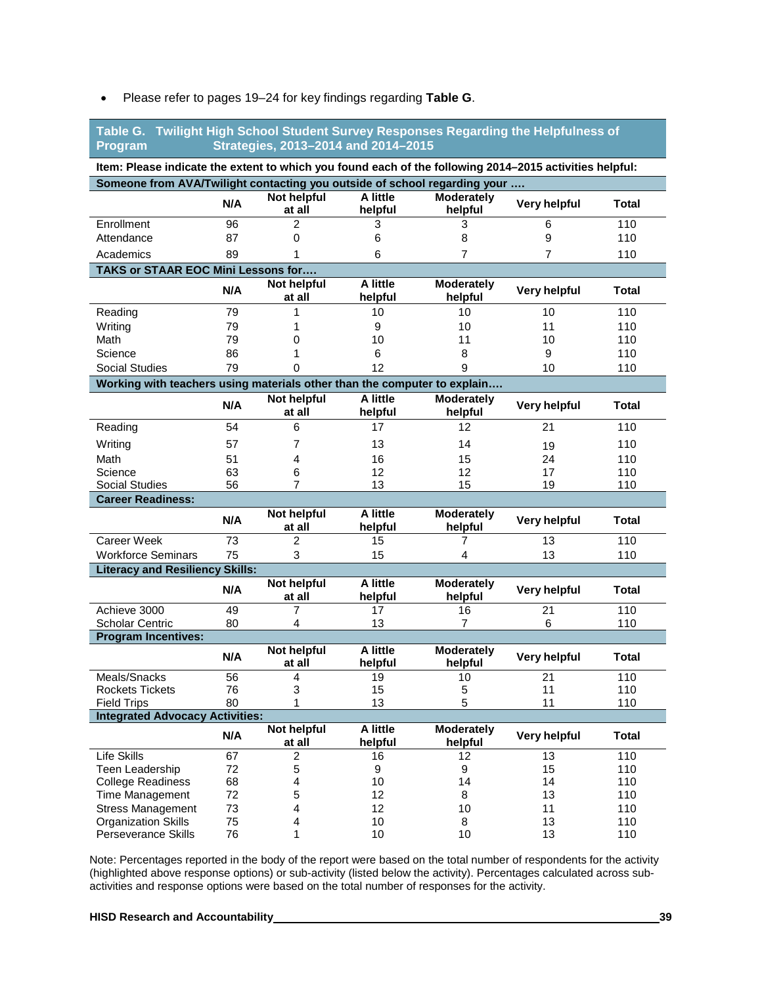| Twilight High School Student Survey Responses Regarding the Helpfulness of<br>Table G.<br>Strategies, 2013-2014 and 2014-2015<br>Program |                                                                           |                              |                     |                              |                     |              |  |  |  |  |
|------------------------------------------------------------------------------------------------------------------------------------------|---------------------------------------------------------------------------|------------------------------|---------------------|------------------------------|---------------------|--------------|--|--|--|--|
| Item: Please indicate the extent to which you found each of the following 2014-2015 activities helpful:                                  |                                                                           |                              |                     |                              |                     |              |  |  |  |  |
|                                                                                                                                          | Someone from AVA/Twilight contacting you outside of school regarding your |                              |                     |                              |                     |              |  |  |  |  |
|                                                                                                                                          | N/A                                                                       | Not helpful<br>at all        | A little<br>helpful | <b>Moderately</b><br>helpful | <b>Very helpful</b> | <b>Total</b> |  |  |  |  |
| Enrollment                                                                                                                               | 96                                                                        | $\overline{2}$               | 3                   | 3                            | 6                   | 110          |  |  |  |  |
| Attendance                                                                                                                               | 87                                                                        | 0                            | 6                   | 8                            | 9                   | 110          |  |  |  |  |
| Academics                                                                                                                                | 89                                                                        | 1                            | 6                   | 7                            | 7                   | 110          |  |  |  |  |
| TAKS or STAAR EOC Mini Lessons for                                                                                                       |                                                                           |                              |                     |                              |                     |              |  |  |  |  |
|                                                                                                                                          | N/A                                                                       | Not helpful<br>at all        | A little<br>helpful | <b>Moderately</b><br>helpful | Very helpful        | Total        |  |  |  |  |
| Reading                                                                                                                                  | 79                                                                        | 1                            | 10                  | 10                           | 10                  | 110          |  |  |  |  |
| Writing                                                                                                                                  | 79                                                                        | 1                            | 9                   | 10                           | 11                  | 110          |  |  |  |  |
| Math                                                                                                                                     | 79                                                                        | 0                            | 10                  | 11                           | 10                  | 110          |  |  |  |  |
| Science                                                                                                                                  | 86                                                                        | 1                            | 6                   | 8                            | 9                   | 110          |  |  |  |  |
| <b>Social Studies</b>                                                                                                                    | 79                                                                        | 0                            | 12                  | 9                            | 10                  | 110          |  |  |  |  |
| Working with teachers using materials other than the computer to explain                                                                 |                                                                           |                              |                     |                              |                     |              |  |  |  |  |
|                                                                                                                                          | N/A                                                                       | <b>Not helpful</b><br>at all | A little<br>helpful | <b>Moderately</b><br>helpful | Very helpful        | <b>Total</b> |  |  |  |  |
| Reading                                                                                                                                  | 54                                                                        | 6                            | 17                  | 12                           | 21                  | 110          |  |  |  |  |
| Writing                                                                                                                                  | 57                                                                        | 7                            | 13                  | 14                           | 19                  | 110          |  |  |  |  |
| Math                                                                                                                                     | 51                                                                        | 4                            | 16                  | 15                           | 24                  | 110          |  |  |  |  |
| Science                                                                                                                                  | 63                                                                        | 6                            | 12                  | 12                           | 17                  | 110          |  |  |  |  |
| Social Studies                                                                                                                           | 56                                                                        | 7                            | 13                  | 15                           | 19                  | 110          |  |  |  |  |
| <b>Career Readiness:</b>                                                                                                                 |                                                                           |                              |                     |                              |                     |              |  |  |  |  |
|                                                                                                                                          | N/A                                                                       | <b>Not helpful</b><br>at all | A little<br>helpful | <b>Moderately</b><br>helpful | <b>Very helpful</b> | <b>Total</b> |  |  |  |  |
| <b>Career Week</b>                                                                                                                       | 73                                                                        | 2                            | 15                  | 7                            | 13                  | 110          |  |  |  |  |
| <b>Workforce Seminars</b>                                                                                                                | 75                                                                        | 3                            | 15                  | 4                            | 13                  | 110          |  |  |  |  |
| <b>Literacy and Resiliency Skills:</b>                                                                                                   |                                                                           |                              |                     |                              |                     |              |  |  |  |  |
|                                                                                                                                          | N/A                                                                       | Not helpful<br>at all        | A little<br>helpful | Moderately<br>helpful        | Very helpful        | <b>Total</b> |  |  |  |  |
| Achieve 3000                                                                                                                             | 49                                                                        | 7                            | 17                  | 16                           | 21                  | 110          |  |  |  |  |
| <b>Scholar Centric</b>                                                                                                                   | 80                                                                        | 4                            | 13                  | $\overline{7}$               | 6                   | 110          |  |  |  |  |
| <b>Program Incentives:</b>                                                                                                               |                                                                           | Not helpful                  | A little            |                              |                     |              |  |  |  |  |
|                                                                                                                                          | N/A                                                                       | at all                       | helpful             | <b>Moderately</b><br>helpful | Very helpful        | <b>Total</b> |  |  |  |  |
| Meals/Snacks                                                                                                                             | $\overline{56}$                                                           | 4                            | 19                  | 10                           | 21                  | 110          |  |  |  |  |
| <b>Rockets Tickets</b>                                                                                                                   | 76                                                                        | 3                            | 15                  | 5                            | 11                  | 110          |  |  |  |  |
| <b>Field Trips</b>                                                                                                                       | 80                                                                        | 1                            | 13                  | 5                            | 11                  | 110          |  |  |  |  |
| <b>Integrated Advocacy Activities:</b>                                                                                                   |                                                                           |                              |                     |                              |                     |              |  |  |  |  |
|                                                                                                                                          | N/A                                                                       | <b>Not helpful</b><br>at all | A little<br>helpful | <b>Moderately</b><br>helpful | Very helpful        | <b>Total</b> |  |  |  |  |
| Life Skills                                                                                                                              | 67                                                                        | 2                            | 16                  | 12                           | 13                  | 110          |  |  |  |  |
| Teen Leadership                                                                                                                          | 72                                                                        | 5                            | 9                   | 9                            | 15                  | 110          |  |  |  |  |
| <b>College Readiness</b>                                                                                                                 | 68                                                                        | 4                            | 10                  | 14                           | 14                  | 110          |  |  |  |  |
| <b>Time Management</b>                                                                                                                   | 72                                                                        | 5                            | 12<br>12            | 8                            | 13                  | 110          |  |  |  |  |
| <b>Stress Management</b><br><b>Organization Skills</b>                                                                                   | 73<br>75                                                                  | 4<br>4                       | 10                  | 10<br>8                      | 11<br>13            | 110<br>110   |  |  |  |  |
| Perseverance Skills                                                                                                                      | 76                                                                        | 1                            | 10                  | 10                           | 13                  | 110          |  |  |  |  |

#### • Please refer to pages 19–24 for key findings regarding **Table G**.

Note: Percentages reported in the body of the report were based on the total number of respondents for the activity (highlighted above response options) or sub-activity (listed below the activity). Percentages calculated across subactivities and response options were based on the total number of responses for the activity.